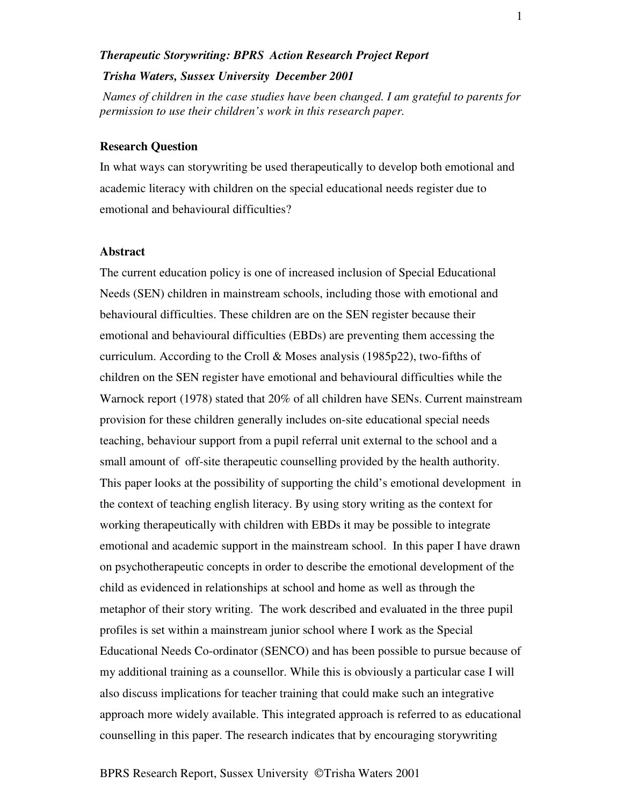# *Therapeutic Storywriting: BPRS Action Research Project Report Trisha Waters, Sussex University December 2001*

*Names of children in the case studies have been changed. I am grateful to parents for permission to use their children's work in this research paper.*

#### **Research Question**

In what ways can storywriting be used therapeutically to develop both emotional and academic literacy with children on the special educational needs register due to emotional and behavioural difficulties?

#### **Abstract**

The current education policy is one of increased inclusion of Special Educational Needs (SEN) children in mainstream schools, including those with emotional and behavioural difficulties. These children are on the SEN register because their emotional and behavioural difficulties (EBDs) are preventing them accessing the curriculum. According to the Croll & Moses analysis (1985p22), two-fifths of children on the SEN register have emotional and behavioural difficulties while the Warnock report (1978) stated that 20% of all children have SENs. Current mainstream provision for these children generally includes on-site educational special needs teaching, behaviour support from a pupil referral unit external to the school and a small amount of off-site therapeutic counselling provided by the health authority. This paper looks at the possibility of supporting the child's emotional development in the context of teaching english literacy. By using story writing as the context for working therapeutically with children with EBDs it may be possible to integrate emotional and academic support in the mainstream school. In this paper I have drawn on psychotherapeutic concepts in order to describe the emotional development of the child as evidenced in relationships at school and home as well as through the metaphor of their story writing. The work described and evaluated in the three pupil profiles is set within a mainstream junior school where I work as the Special Educational Needs Co-ordinator (SENCO) and has been possible to pursue because of my additional training as a counsellor. While this is obviously a particular case I will also discuss implications for teacher training that could make such an integrative approach more widely available. This integrated approach is referred to as educational counselling in this paper. The research indicates that by encouraging storywriting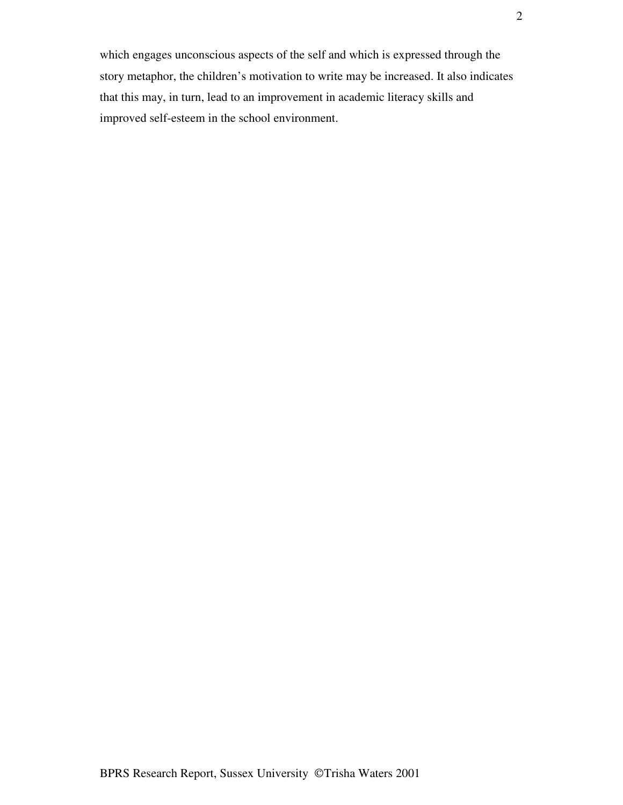which engages unconscious aspects of the self and which is expressed through the story metaphor, the children's motivation to write may be increased. It also indicates that this may, in turn, lead to an improvement in academic literacy skills and improved self-esteem in the school environment.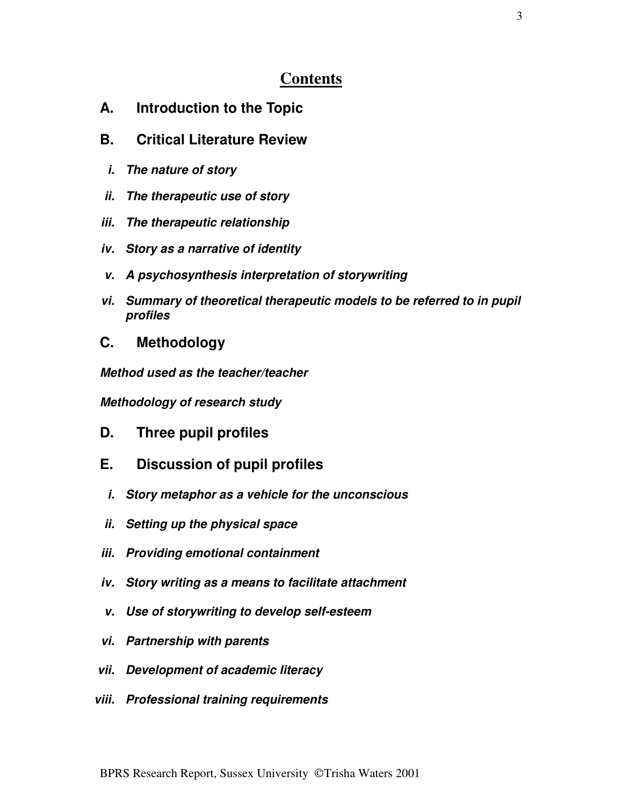# **Contents**

- **A. Introduction to the Topic**
- **B. Critical Literature Review**
- *i. The nature of story*
- *ii. The therapeutic use of story*
- *iii. The therapeutic relationship*
- *iv. Story as a narrative of identity*
- *v. A psychosynthesis interpretation of storywriting*
- *vi. Summary of theoretical therapeutic models to be referred to in pupil profiles*
- **C. Methodology**

*Method used as the teacher/teacher*

*Methodology of research study*

- **D. Three pupil profiles**
- **E. Discussion of pupil profiles**
	- *i. Story metaphor as a vehicle for the unconscious*
- *ii. Setting up the physical space*
- *iii. Providing emotional containment*
- *iv. Story writing as a means to facilitate attachment*
- *v. Use of storywriting to develop self-esteem*
- *vi. Partnership with parents*
- *vii. Development of academic literacy*
- *viii. Professional training requirements*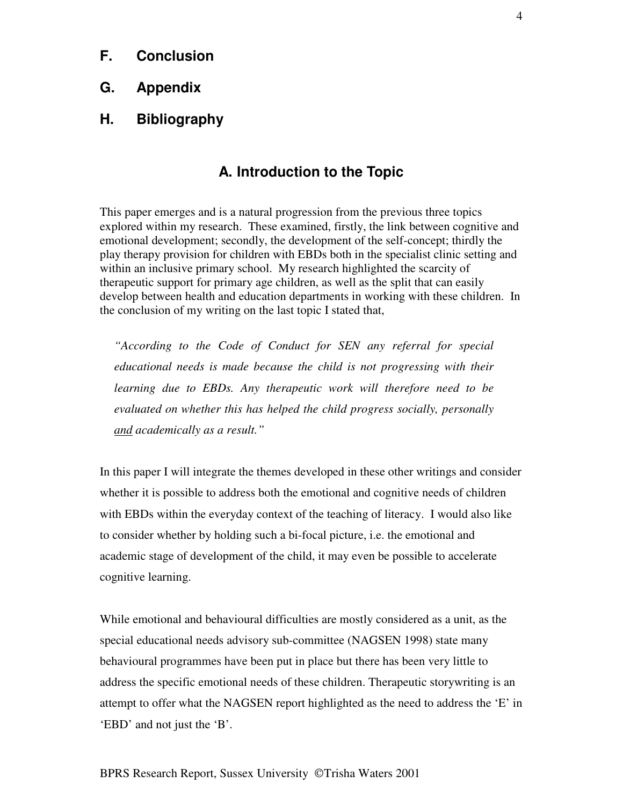- **F. Conclusion**
- **G. Appendix**
- **H. Bibliography**

# **A. Introduction to the Topic**

This paper emerges and is a natural progression from the previous three topics explored within my research. These examined, firstly, the link between cognitive and emotional development; secondly, the development of the self-concept; thirdly the play therapy provision for children with EBDs both in the specialist clinic setting and within an inclusive primary school. My research highlighted the scarcity of therapeutic support for primary age children, as well as the split that can easily develop between health and education departments in working with these children. In the conclusion of my writing on the last topic I stated that,

*"According to the Code of Conduct for SEN any referral for special educational needs is made because the child is not progressing with their learning due to EBDs. Any therapeutic work will therefore need to be evaluated on whether this has helped the child progress socially, personally and academically as a result."*

In this paper I will integrate the themes developed in these other writings and consider whether it is possible to address both the emotional and cognitive needs of children with EBDs within the everyday context of the teaching of literacy. I would also like to consider whether by holding such a bi-focal picture, i.e. the emotional and academic stage of development of the child, it may even be possible to accelerate cognitive learning.

While emotional and behavioural difficulties are mostly considered as a unit, as the special educational needs advisory sub-committee (NAGSEN 1998) state many behavioural programmes have been put in place but there has been very little to address the specific emotional needs of these children. Therapeutic storywriting is an attempt to offer what the NAGSEN report highlighted as the need to address the 'E' in 'EBD' and not just the 'B'.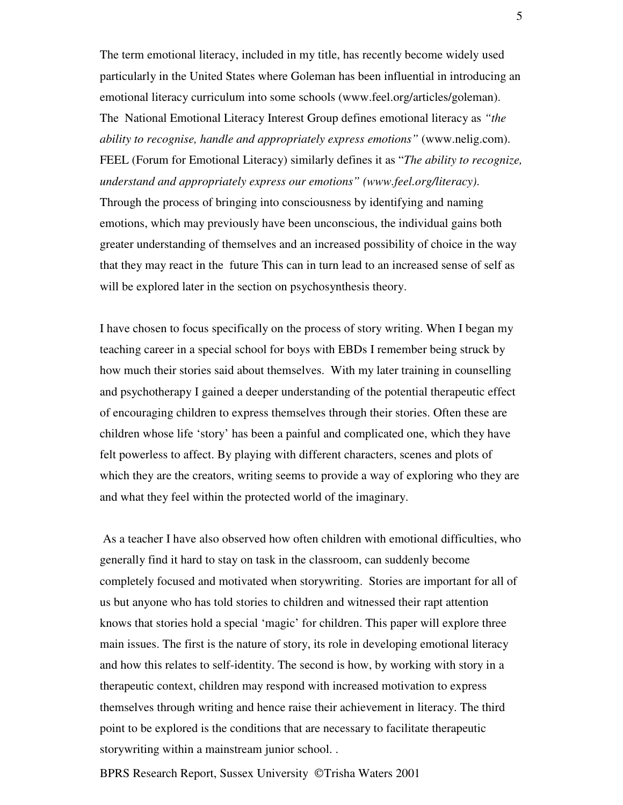The term emotional literacy, included in my title, has recently become widely used particularly in the United States where Goleman has been influential in introducing an emotional literacy curriculum into some schools (www.feel.org/articles/goleman). The National Emotional Literacy Interest Group defines emotional literacy as *"the ability to recognise, handle and appropriately express emotions"* (www.nelig.com). FEEL (Forum for Emotional Literacy) similarly defines it as "*The ability to recognize, understand and appropriately express our emotions" (www.feel.org/literacy)*. Through the process of bringing into consciousness by identifying and naming emotions, which may previously have been unconscious, the individual gains both greater understanding of themselves and an increased possibility of choice in the way that they may react in the future This can in turn lead to an increased sense of self as will be explored later in the section on psychosynthesis theory.

I have chosen to focus specifically on the process of story writing. When I began my teaching career in a special school for boys with EBDs I remember being struck by how much their stories said about themselves. With my later training in counselling and psychotherapy I gained a deeper understanding of the potential therapeutic effect of encouraging children to express themselves through their stories. Often these are children whose life 'story' has been a painful and complicated one, which they have felt powerless to affect. By playing with different characters, scenes and plots of which they are the creators, writing seems to provide a way of exploring who they are and what they feel within the protected world of the imaginary.

As a teacher I have also observed how often children with emotional difficulties, who generally find it hard to stay on task in the classroom, can suddenly become completely focused and motivated when storywriting. Stories are important for all of us but anyone who has told stories to children and witnessed their rapt attention knows that stories hold a special 'magic' for children. This paper will explore three main issues. The first is the nature of story, its role in developing emotional literacy and how this relates to self-identity. The second is how, by working with story in a therapeutic context, children may respond with increased motivation to express themselves through writing and hence raise their achievement in literacy. The third point to be explored is the conditions that are necessary to facilitate therapeutic storywriting within a mainstream junior school. .

BPRS Research Report, Sussex University © Trisha Waters 2001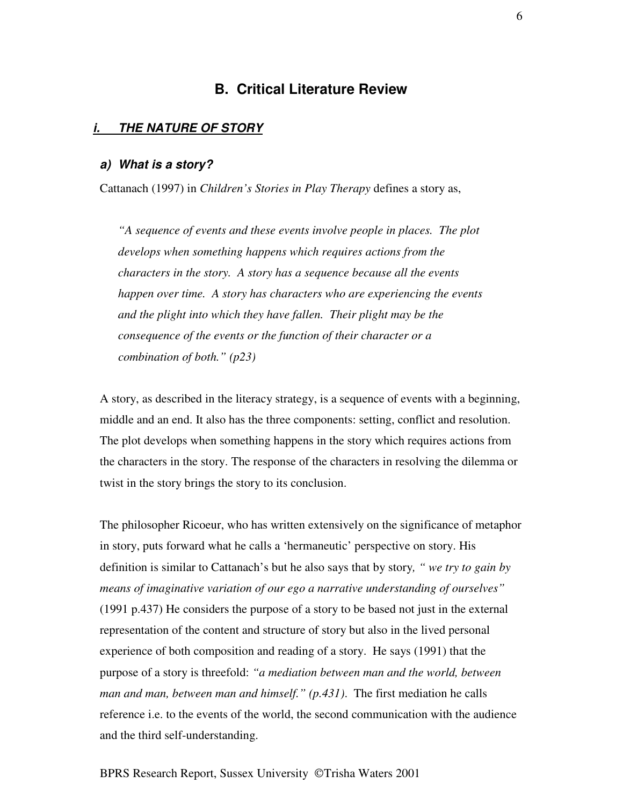# **B. Critical Literature Review**

### *i. THE NATURE OF STORY*

## *a) What is a story?*

Cattanach (1997) in *Children's Stories in Play Therapy* defines a story as,

*"A sequence of events and these events involve people in places. The plot develops when something happens which requires actions from the characters in the story. A story has a sequence because all the events happen over time. A story has characters who are experiencing the events and the plight into which they have fallen. Their plight may be the consequence of the events or the function of their character or a combination of both." (p23)*

A story, as described in the literacy strategy, is a sequence of events with a beginning, middle and an end. It also has the three components: setting, conflict and resolution. The plot develops when something happens in the story which requires actions from the characters in the story. The response of the characters in resolving the dilemma or twist in the story brings the story to its conclusion.

The philosopher Ricoeur, who has written extensively on the significance of metaphor in story, puts forward what he calls a 'hermaneutic' perspective on story. His definition is similar to Cattanach's but he also says that by story*, " we try to gain by means of imaginative variation of our ego a narrative understanding of ourselves"* (1991 p.437) He considers the purpose of a story to be based not just in the external representation of the content and structure of story but also in the lived personal experience of both composition and reading of a story. He says (1991) that the purpose of a story is threefold: *"a mediation between man and the world, between man and man, between man and himself." (p.431)*. The first mediation he calls reference i.e. to the events of the world, the second communication with the audience and the third self-understanding.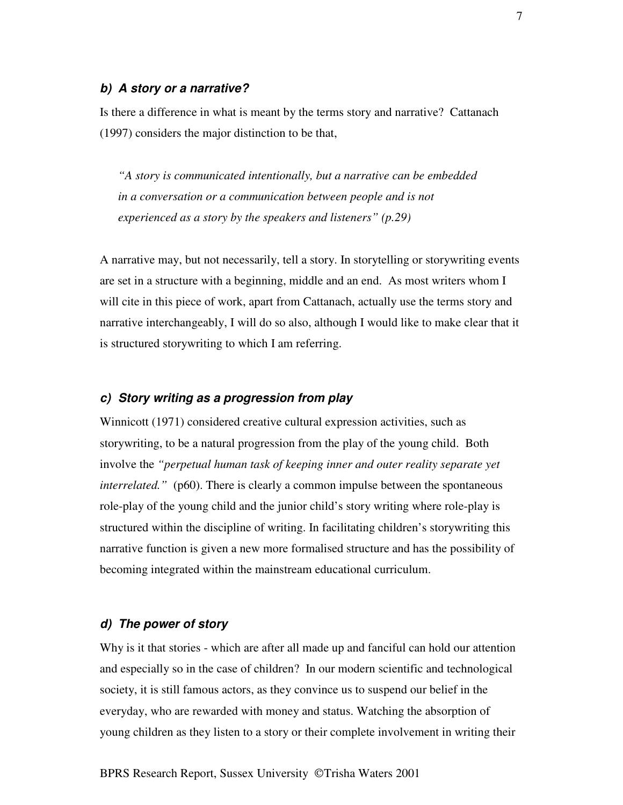#### *b) A story or a narrative?*

Is there a difference in what is meant by the terms story and narrative? Cattanach (1997) considers the major distinction to be that,

*"A story is communicated intentionally, but a narrative can be embedded in a conversation or a communication between people and is not experienced as a story by the speakers and listeners" (p.29)*

A narrative may, but not necessarily, tell a story. In storytelling or storywriting events are set in a structure with a beginning, middle and an end. As most writers whom I will cite in this piece of work, apart from Cattanach, actually use the terms story and narrative interchangeably, I will do so also, although I would like to make clear that it is structured storywriting to which I am referring.

# *c) Story writing as a progression from play*

Winnicott (1971) considered creative cultural expression activities, such as storywriting, to be a natural progression from the play of the young child. Both involve the *"perpetual human task of keeping inner and outer reality separate yet interrelated."* (p60). There is clearly a common impulse between the spontaneous role-play of the young child and the junior child's story writing where role-play is structured within the discipline of writing. In facilitating children's storywriting this narrative function is given a new more formalised structure and has the possibility of becoming integrated within the mainstream educational curriculum.

## *d) The power of story*

Why is it that stories - which are after all made up and fanciful can hold our attention and especially so in the case of children? In our modern scientific and technological society, it is still famous actors, as they convince us to suspend our belief in the everyday, who are rewarded with money and status. Watching the absorption of young children as they listen to a story or their complete involvement in writing their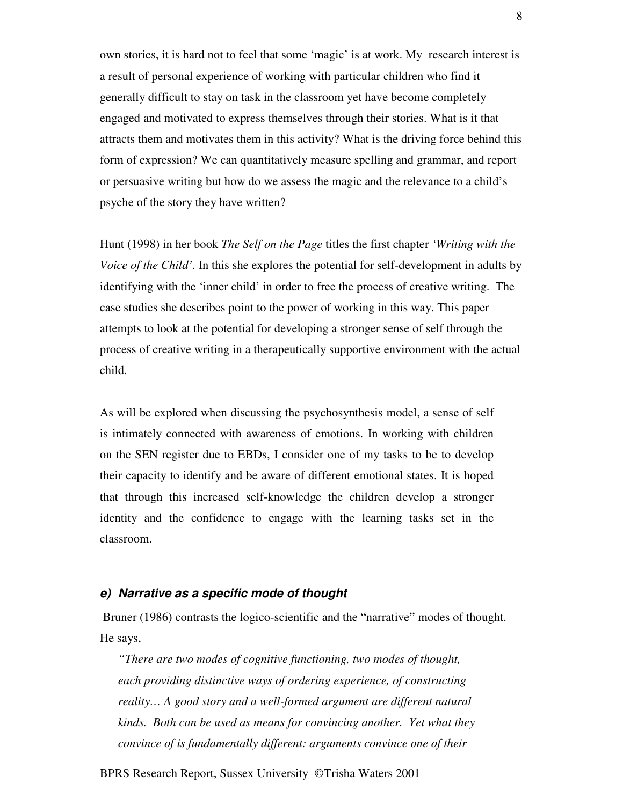own stories, it is hard not to feel that some 'magic' is at work. My research interest is a result of personal experience of working with particular children who find it generally difficult to stay on task in the classroom yet have become completely engaged and motivated to express themselves through their stories. What is it that attracts them and motivates them in this activity? What is the driving force behind this form of expression? We can quantitatively measure spelling and grammar, and report or persuasive writing but how do we assess the magic and the relevance to a child's psyche of the story they have written?

Hunt (1998) in her book *The Self on the Page* titles the first chapter *'Writing with the Voice of the Child'*. In this she explores the potential for self-development in adults by identifying with the 'inner child' in order to free the process of creative writing. The case studies she describes point to the power of working in this way. This paper attempts to look at the potential for developing a stronger sense of self through the process of creative writing in a therapeutically supportive environment with the actual child*.*

As will be explored when discussing the psychosynthesis model, a sense of self is intimately connected with awareness of emotions. In working with children on the SEN register due to EBDs, I consider one of my tasks to be to develop their capacity to identify and be aware of different emotional states. It is hoped that through this increased self-knowledge the children develop a stronger identity and the confidence to engage with the learning tasks set in the classroom.

#### *e) Narrative as a specific mode of thought*

Bruner (1986) contrasts the logico-scientific and the "narrative" modes of thought. He says,

*"There are two modes of cognitive functioning, two modes of thought, each providing distinctive ways of ordering experience, of constructing reality… A good story and a well-formed argument are different natural kinds. Both can be used as means for convincing another. Yet what they convince of is fundamentally different: arguments convince one of their*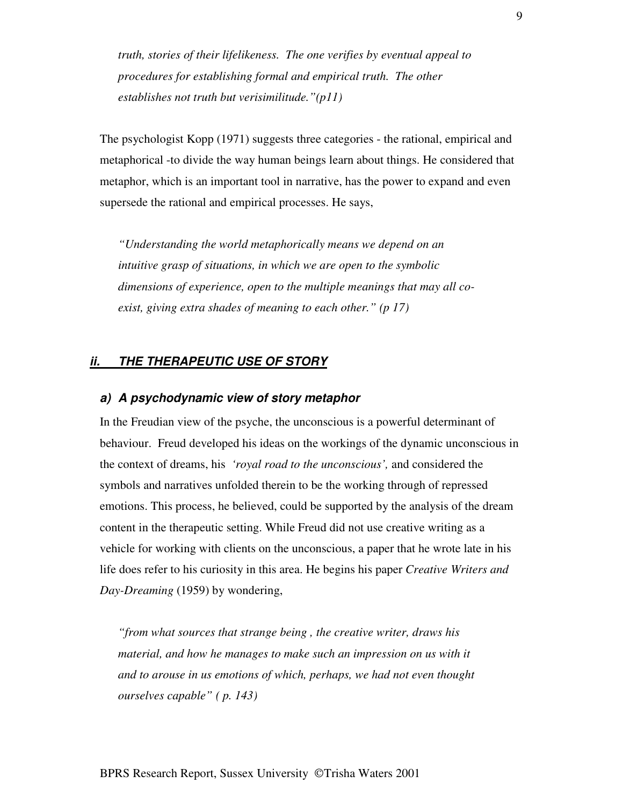*truth, stories of their lifelikeness. The one verifies by eventual appeal to procedures for establishing formal and empirical truth. The other establishes not truth but verisimilitude."(p11)*

The psychologist Kopp (1971) suggests three categories - the rational, empirical and metaphorical -to divide the way human beings learn about things. He considered that metaphor, which is an important tool in narrative, has the power to expand and even supersede the rational and empirical processes. He says,

*"Understanding the world metaphorically means we depend on an intuitive grasp of situations, in which we are open to the symbolic dimensions of experience, open to the multiple meanings that may all coexist, giving extra shades of meaning to each other." (p 17)*

### *ii. THE THERAPEUTIC USE OF STORY*

## *a) A psychodynamic view of story metaphor*

In the Freudian view of the psyche, the unconscious is a powerful determinant of behaviour. Freud developed his ideas on the workings of the dynamic unconscious in the context of dreams, his *'royal road to the unconscious',* and considered the symbols and narratives unfolded therein to be the working through of repressed emotions. This process, he believed, could be supported by the analysis of the dream content in the therapeutic setting. While Freud did not use creative writing as a vehicle for working with clients on the unconscious, a paper that he wrote late in his life does refer to his curiosity in this area. He begins his paper *Creative Writers and Day-Dreaming* (1959) by wondering,

*"from what sources that strange being , the creative writer, draws his material, and how he manages to make such an impression on us with it and to arouse in us emotions of which, perhaps, we had not even thought ourselves capable" ( p. 143)*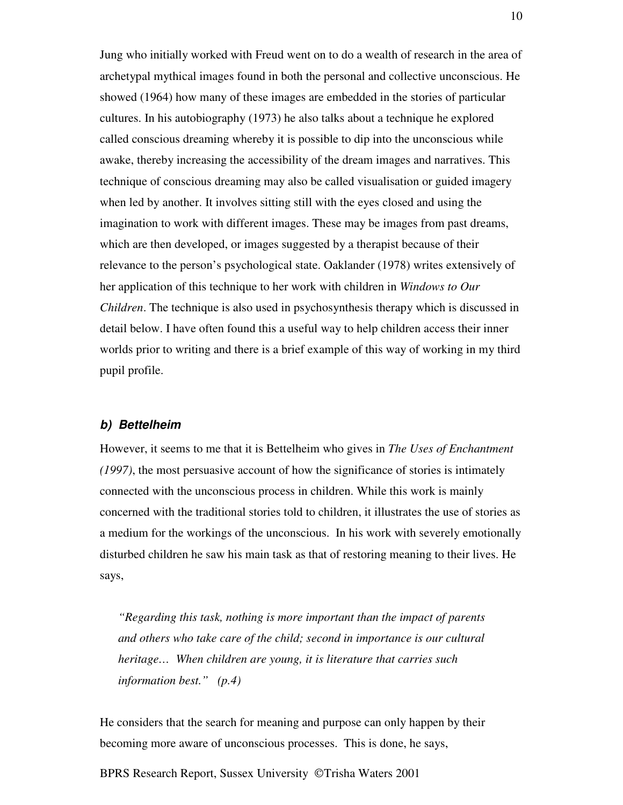Jung who initially worked with Freud went on to do a wealth of research in the area of archetypal mythical images found in both the personal and collective unconscious. He showed (1964) how many of these images are embedded in the stories of particular cultures. In his autobiography (1973) he also talks about a technique he explored called conscious dreaming whereby it is possible to dip into the unconscious while awake, thereby increasing the accessibility of the dream images and narratives. This technique of conscious dreaming may also be called visualisation or guided imagery when led by another. It involves sitting still with the eyes closed and using the imagination to work with different images. These may be images from past dreams, which are then developed, or images suggested by a therapist because of their relevance to the person's psychological state. Oaklander (1978) writes extensively of her application of this technique to her work with children in *Windows to Our Children*. The technique is also used in psychosynthesis therapy which is discussed in detail below. I have often found this a useful way to help children access their inner worlds prior to writing and there is a brief example of this way of working in my third pupil profile.

## *b) Bettelheim*

However, it seems to me that it is Bettelheim who gives in *The Uses of Enchantment (1997)*, the most persuasive account of how the significance of stories is intimately connected with the unconscious process in children. While this work is mainly concerned with the traditional stories told to children, it illustrates the use of stories as a medium for the workings of the unconscious. In his work with severely emotionally disturbed children he saw his main task as that of restoring meaning to their lives. He says,

*"Regarding this task, nothing is more important than the impact of parents and others who take care of the child; second in importance is our cultural heritage… When children are young, it is literature that carries such information best." (p.4)*

He considers that the search for meaning and purpose can only happen by their becoming more aware of unconscious processes. This is done, he says,

BPRS Research Report, Sussex University © Trisha Waters 2001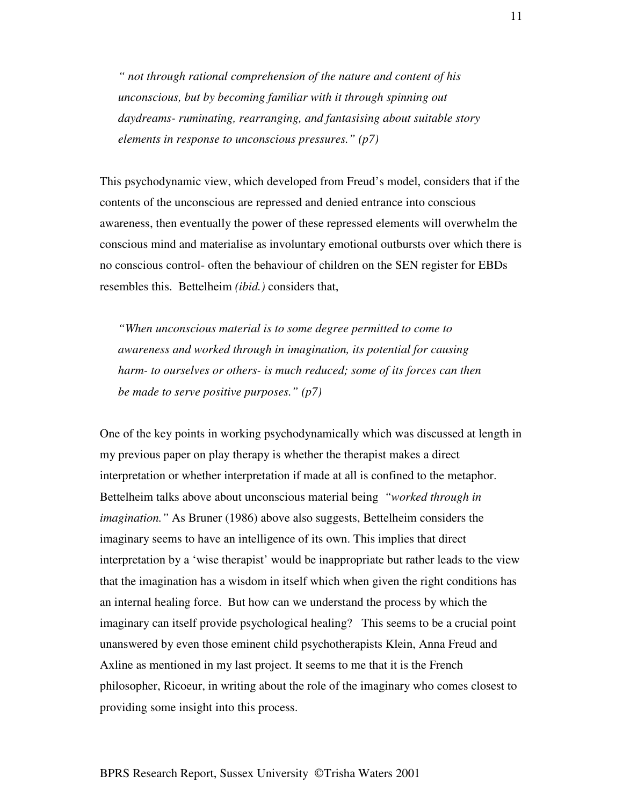*" not through rational comprehension of the nature and content of his unconscious, but by becoming familiar with it through spinning out daydreams- ruminating, rearranging, and fantasising about suitable story elements in response to unconscious pressures." (p7)*

This psychodynamic view, which developed from Freud's model, considers that if the contents of the unconscious are repressed and denied entrance into conscious awareness, then eventually the power of these repressed elements will overwhelm the conscious mind and materialise as involuntary emotional outbursts over which there is no conscious control- often the behaviour of children on the SEN register for EBDs resembles this. Bettelheim *(ibid.)* considers that,

*"When unconscious material is to some degree permitted to come to awareness and worked through in imagination, its potential for causing harm- to ourselves or others- is much reduced; some of its forces can then be made to serve positive purposes." (p7)*

One of the key points in working psychodynamically which was discussed at length in my previous paper on play therapy is whether the therapist makes a direct interpretation or whether interpretation if made at all is confined to the metaphor. Bettelheim talks above about unconscious material being *"worked through in imagination."* As Bruner (1986) above also suggests, Bettelheim considers the imaginary seems to have an intelligence of its own. This implies that direct interpretation by a 'wise therapist' would be inappropriate but rather leads to the view that the imagination has a wisdom in itself which when given the right conditions has an internal healing force. But how can we understand the process by which the imaginary can itself provide psychological healing? This seems to be a crucial point unanswered by even those eminent child psychotherapists Klein, Anna Freud and Axline as mentioned in my last project. It seems to me that it is the French philosopher, Ricoeur, in writing about the role of the imaginary who comes closest to providing some insight into this process.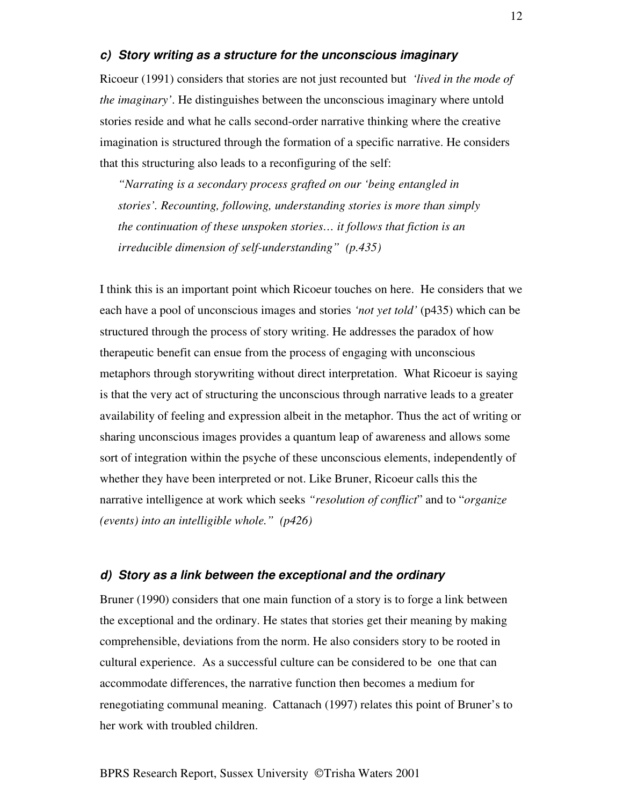### *c) Story writing as a structure for the unconscious imaginary*

Ricoeur (1991) considers that stories are not just recounted but *'lived in the mode of the imaginary'*. He distinguishes between the unconscious imaginary where untold stories reside and what he calls second-order narrative thinking where the creative imagination is structured through the formation of a specific narrative. He considers that this structuring also leads to a reconfiguring of the self:

*"Narrating is a secondary process grafted on our 'being entangled in stories'. Recounting, following, understanding stories is more than simply the continuation of these unspoken stories… it follows that fiction is an irreducible dimension of self-understanding" (p.435)*

I think this is an important point which Ricoeur touches on here. He considers that we each have a pool of unconscious images and stories *'not yet told'* (p435) which can be structured through the process of story writing. He addresses the paradox of how therapeutic benefit can ensue from the process of engaging with unconscious metaphors through storywriting without direct interpretation. What Ricoeur is saying is that the very act of structuring the unconscious through narrative leads to a greater availability of feeling and expression albeit in the metaphor. Thus the act of writing or sharing unconscious images provides a quantum leap of awareness and allows some sort of integration within the psyche of these unconscious elements, independently of whether they have been interpreted or not. Like Bruner, Ricoeur calls this the narrative intelligence at work which seeks *"resolution of conflict*" and to "*organize (events) into an intelligible whole." (p426)*

#### *d) Story as a link between the exceptional and the ordinary*

Bruner (1990) considers that one main function of a story is to forge a link between the exceptional and the ordinary. He states that stories get their meaning by making comprehensible, deviations from the norm. He also considers story to be rooted in cultural experience. As a successful culture can be considered to be one that can accommodate differences, the narrative function then becomes a medium for renegotiating communal meaning. Cattanach (1997) relates this point of Bruner's to her work with troubled children.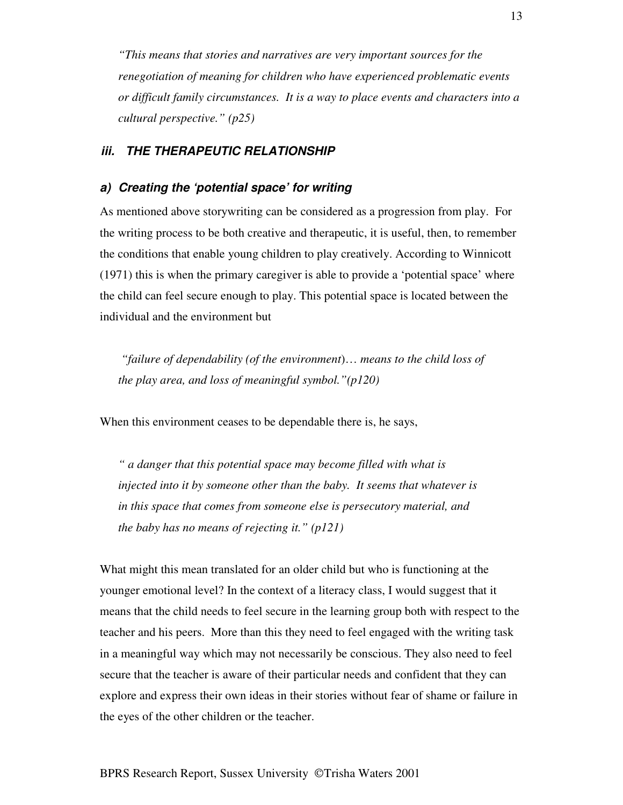*"This means that stories and narratives are very important sources for the renegotiation of meaning for children who have experienced problematic events or difficult family circumstances. It is a way to place events and characters into a cultural perspective." (p25)*

## *iii. THE THERAPEUTIC RELATIONSHIP*

#### *a) Creating the 'potential space' for writing*

As mentioned above storywriting can be considered as a progression from play. For the writing process to be both creative and therapeutic, it is useful, then, to remember the conditions that enable young children to play creatively. According to Winnicott (1971) this is when the primary caregiver is able to provide a 'potential space' where the child can feel secure enough to play. This potential space is located between the individual and the environment but

*"failure of dependability (of the environment*)… *means to the child loss of the play area, and loss of meaningful symbol."(p120)*

When this environment ceases to be dependable there is, he says,

*" a danger that this potential space may become filled with what is injected into it by someone other than the baby. It seems that whatever is in this space that comes from someone else is persecutory material, and the baby has no means of rejecting it." (p121)*

What might this mean translated for an older child but who is functioning at the younger emotional level? In the context of a literacy class, I would suggest that it means that the child needs to feel secure in the learning group both with respect to the teacher and his peers. More than this they need to feel engaged with the writing task in a meaningful way which may not necessarily be conscious. They also need to feel secure that the teacher is aware of their particular needs and confident that they can explore and express their own ideas in their stories without fear of shame or failure in the eyes of the other children or the teacher.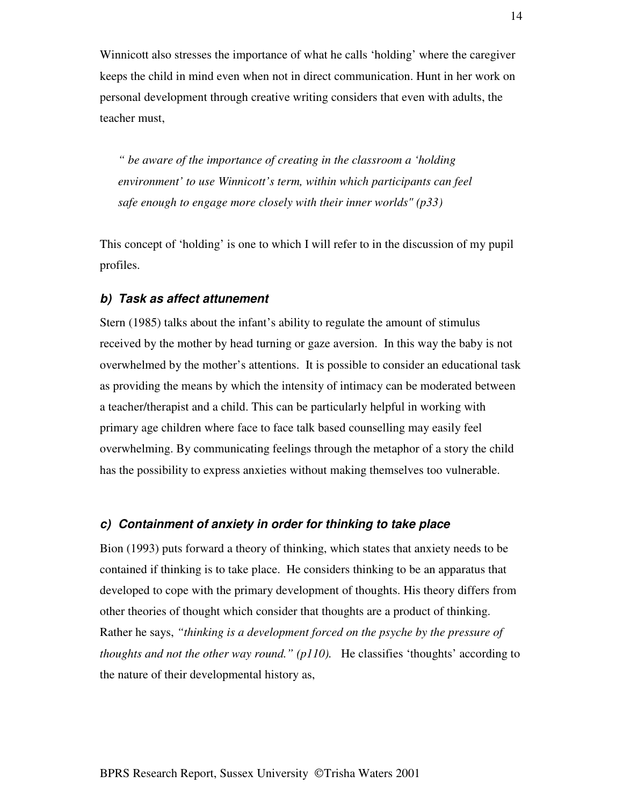Winnicott also stresses the importance of what he calls 'holding' where the caregiver keeps the child in mind even when not in direct communication. Hunt in her work on personal development through creative writing considers that even with adults, the teacher must,

*" be aware of the importance of creating in the classroom a 'holding environment' to use Winnicott's term, within which participants can feel safe enough to engage more closely with their inner worlds" (p33)*

This concept of 'holding' is one to which I will refer to in the discussion of my pupil profiles.

## *b) Task as affect attunement*

Stern (1985) talks about the infant's ability to regulate the amount of stimulus received by the mother by head turning or gaze aversion. In this way the baby is not overwhelmed by the mother's attentions. It is possible to consider an educational task as providing the means by which the intensity of intimacy can be moderated between a teacher/therapist and a child. This can be particularly helpful in working with primary age children where face to face talk based counselling may easily feel overwhelming. By communicating feelings through the metaphor of a story the child has the possibility to express anxieties without making themselves too vulnerable.

#### *c) Containment of anxiety in order for thinking to take place*

Bion (1993) puts forward a theory of thinking, which states that anxiety needs to be contained if thinking is to take place. He considers thinking to be an apparatus that developed to cope with the primary development of thoughts. His theory differs from other theories of thought which consider that thoughts are a product of thinking. Rather he says, *"thinking is a development forced on the psyche by the pressure of thoughts and not the other way round." (p110).* He classifies 'thoughts' according to the nature of their developmental history as,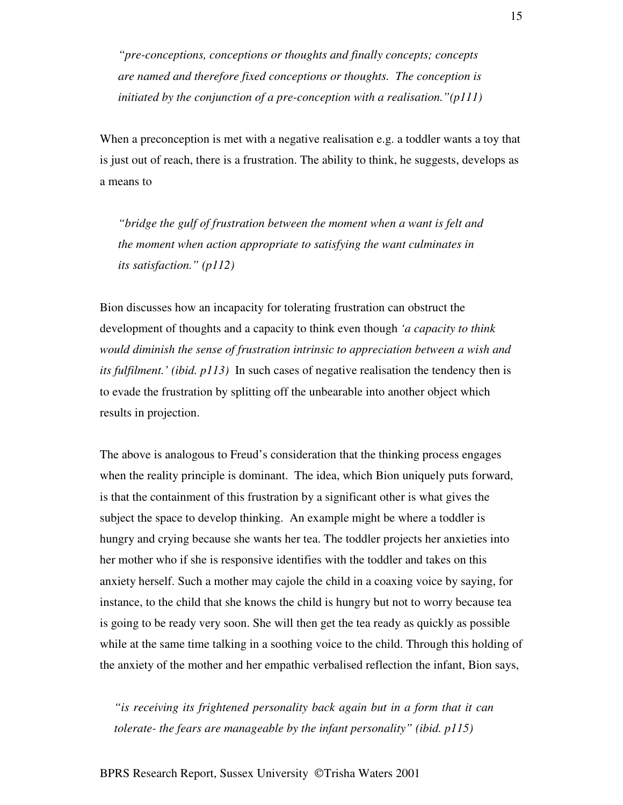*"pre-conceptions, conceptions or thoughts and finally concepts; concepts are named and therefore fixed conceptions or thoughts. The conception is initiated by the conjunction of a pre-conception with a realisation."(p111)*

When a preconception is met with a negative realisation e.g. a toddler wants a toy that is just out of reach, there is a frustration. The ability to think, he suggests, develops as a means to

*"bridge the gulf of frustration between the moment when a want is felt and the moment when action appropriate to satisfying the want culminates in its satisfaction." (p112)*

Bion discusses how an incapacity for tolerating frustration can obstruct the development of thoughts and a capacity to think even though *'a capacity to think would diminish the sense of frustration intrinsic to appreciation between a wish and its fulfilment.' (ibid. p113)* In such cases of negative realisation the tendency then is to evade the frustration by splitting off the unbearable into another object which results in projection.

The above is analogous to Freud's consideration that the thinking process engages when the reality principle is dominant. The idea, which Bion uniquely puts forward, is that the containment of this frustration by a significant other is what gives the subject the space to develop thinking. An example might be where a toddler is hungry and crying because she wants her tea. The toddler projects her anxieties into her mother who if she is responsive identifies with the toddler and takes on this anxiety herself. Such a mother may cajole the child in a coaxing voice by saying, for instance, to the child that she knows the child is hungry but not to worry because tea is going to be ready very soon. She will then get the tea ready as quickly as possible while at the same time talking in a soothing voice to the child. Through this holding of the anxiety of the mother and her empathic verbalised reflection the infant, Bion says,

*"is receiving its frightened personality back again but in a form that it can tolerate- the fears are manageable by the infant personality" (ibid. p115)*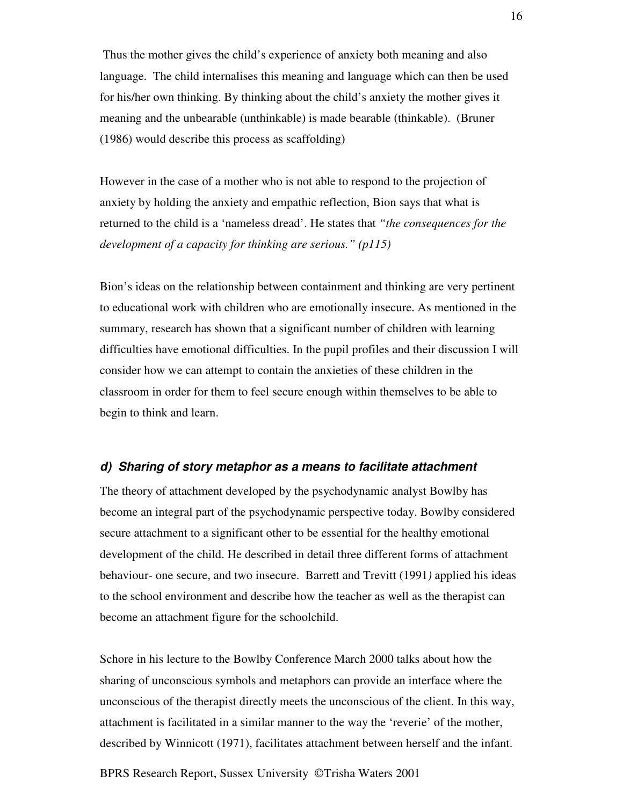Thus the mother gives the child's experience of anxiety both meaning and also language. The child internalises this meaning and language which can then be used for his/her own thinking. By thinking about the child's anxiety the mother gives it meaning and the unbearable (unthinkable) is made bearable (thinkable). (Bruner (1986) would describe this process as scaffolding)

However in the case of a mother who is not able to respond to the projection of anxiety by holding the anxiety and empathic reflection, Bion says that what is returned to the child is a 'nameless dread'. He states that *"the consequences for the development of a capacity for thinking are serious." (p115)*

Bion's ideas on the relationship between containment and thinking are very pertinent to educational work with children who are emotionally insecure. As mentioned in the summary, research has shown that a significant number of children with learning difficulties have emotional difficulties. In the pupil profiles and their discussion I will consider how we can attempt to contain the anxieties of these children in the classroom in order for them to feel secure enough within themselves to be able to begin to think and learn.

#### *d) Sharing of story metaphor as a means to facilitate attachment*

The theory of attachment developed by the psychodynamic analyst Bowlby has become an integral part of the psychodynamic perspective today. Bowlby considered secure attachment to a significant other to be essential for the healthy emotional development of the child. He described in detail three different forms of attachment behaviour- one secure, and two insecure. Barrett and Trevitt (1991*)* applied his ideas to the school environment and describe how the teacher as well as the therapist can become an attachment figure for the schoolchild.

Schore in his lecture to the Bowlby Conference March 2000 talks about how the sharing of unconscious symbols and metaphors can provide an interface where the unconscious of the therapist directly meets the unconscious of the client. In this way, attachment is facilitated in a similar manner to the way the 'reverie' of the mother, described by Winnicott (1971), facilitates attachment between herself and the infant.

BPRS Research Report, Sussex University ©Trisha Waters 2001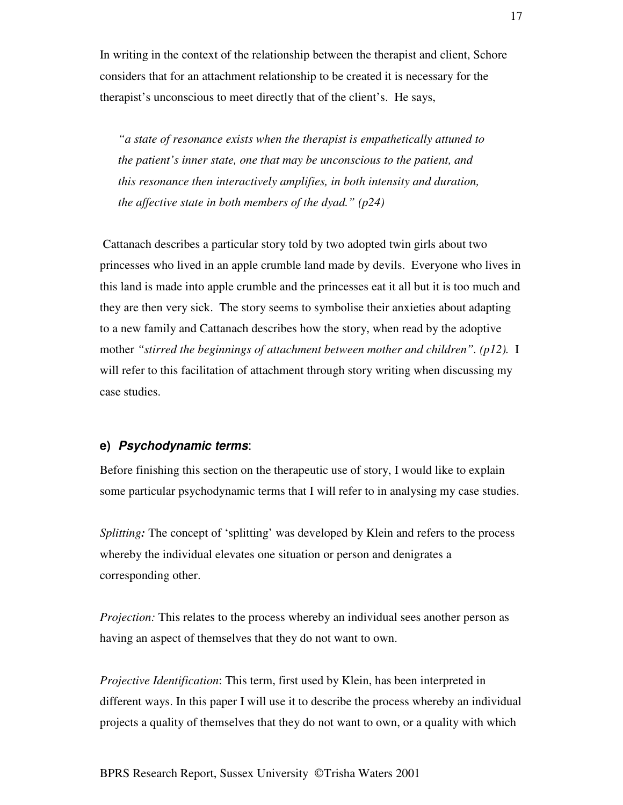In writing in the context of the relationship between the therapist and client, Schore considers that for an attachment relationship to be created it is necessary for the therapist's unconscious to meet directly that of the client's. He says,

*"a state of resonance exists when the therapist is empathetically attuned to the patient's inner state, one that may be unconscious to the patient, and this resonance then interactively amplifies, in both intensity and duration, the affective state in both members of the dyad." (p24)*

Cattanach describes a particular story told by two adopted twin girls about two princesses who lived in an apple crumble land made by devils. Everyone who lives in this land is made into apple crumble and the princesses eat it all but it is too much and they are then very sick. The story seems to symbolise their anxieties about adapting to a new family and Cattanach describes how the story, when read by the adoptive mother *"stirred the beginnings of attachment between mother and children". (p12).* I will refer to this facilitation of attachment through story writing when discussing my case studies.

#### **e)** *Psychodynamic terms*:

Before finishing this section on the therapeutic use of story, I would like to explain some particular psychodynamic terms that I will refer to in analysing my case studies.

*Splitting*: The concept of 'splitting' was developed by Klein and refers to the process whereby the individual elevates one situation or person and denigrates a corresponding other.

*Projection:* This relates to the process whereby an individual sees another person as having an aspect of themselves that they do not want to own.

*Projective Identification*: This term, first used by Klein, has been interpreted in different ways. In this paper I will use it to describe the process whereby an individual projects a quality of themselves that they do not want to own, or a quality with which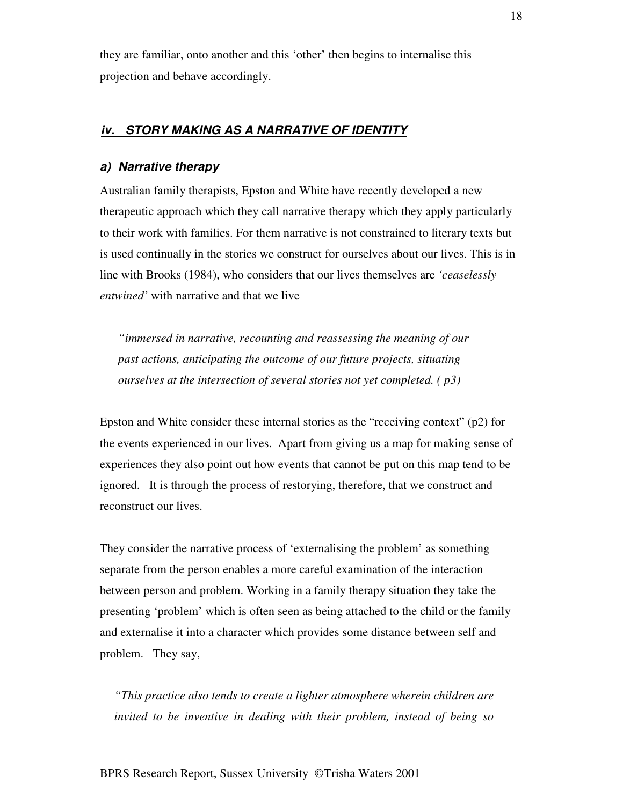they are familiar, onto another and this 'other' then begins to internalise this projection and behave accordingly.

# *iv. STORY MAKING AS A NARRATIVE OF IDENTITY*

#### *a) Narrative therapy*

Australian family therapists, Epston and White have recently developed a new therapeutic approach which they call narrative therapy which they apply particularly to their work with families. For them narrative is not constrained to literary texts but is used continually in the stories we construct for ourselves about our lives. This is in line with Brooks (1984), who considers that our lives themselves are *'ceaselessly entwined'* with narrative and that we live

*"immersed in narrative, recounting and reassessing the meaning of our past actions, anticipating the outcome of our future projects, situating ourselves at the intersection of several stories not yet completed. ( p3)*

Epston and White consider these internal stories as the "receiving context" (p2) for the events experienced in our lives. Apart from giving us a map for making sense of experiences they also point out how events that cannot be put on this map tend to be ignored. It is through the process of restorying, therefore, that we construct and reconstruct our lives.

They consider the narrative process of 'externalising the problem' as something separate from the person enables a more careful examination of the interaction between person and problem. Working in a family therapy situation they take the presenting 'problem' which is often seen as being attached to the child or the family and externalise it into a character which provides some distance between self and problem. They say,

*"This practice also tends to create a lighter atmosphere wherein children are invited to be inventive in dealing with their problem, instead of being so*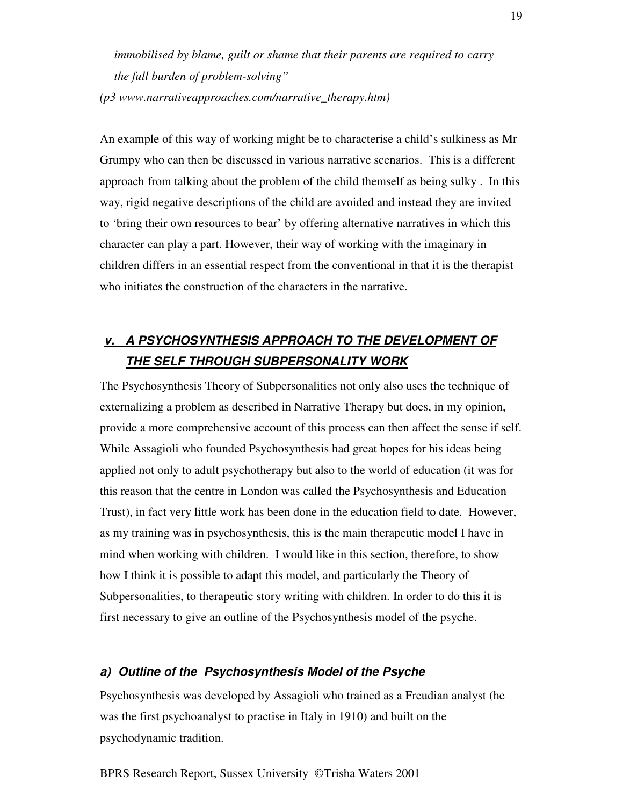*immobilised by blame, guilt or shame that their parents are required to carry the full burden of problem-solving" (p3 www.narrativeapproaches.com/narrative\_therapy.htm)*

An example of this way of working might be to characterise a child's sulkiness as Mr Grumpy who can then be discussed in various narrative scenarios. This is a different approach from talking about the problem of the child themself as being sulky . In this way, rigid negative descriptions of the child are avoided and instead they are invited to 'bring their own resources to bear' by offering alternative narratives in which this character can play a part. However, their way of working with the imaginary in children differs in an essential respect from the conventional in that it is the therapist who initiates the construction of the characters in the narrative.

# *v. A PSYCHOSYNTHESIS APPROACH TO THE DEVELOPMENT OF THE SELF THROUGH SUBPERSONALITY WORK*

The Psychosynthesis Theory of Subpersonalities not only also uses the technique of externalizing a problem as described in Narrative Therapy but does, in my opinion, provide a more comprehensive account of this process can then affect the sense if self. While Assagioli who founded Psychosynthesis had great hopes for his ideas being applied not only to adult psychotherapy but also to the world of education (it was for this reason that the centre in London was called the Psychosynthesis and Education Trust), in fact very little work has been done in the education field to date. However, as my training was in psychosynthesis, this is the main therapeutic model I have in mind when working with children. I would like in this section, therefore, to show how I think it is possible to adapt this model, and particularly the Theory of Subpersonalities, to therapeutic story writing with children. In order to do this it is first necessary to give an outline of the Psychosynthesis model of the psyche.

# *a) Outline of the Psychosynthesis Model of the Psyche*

Psychosynthesis was developed by Assagioli who trained as a Freudian analyst (he was the first psychoanalyst to practise in Italy in 1910) and built on the psychodynamic tradition.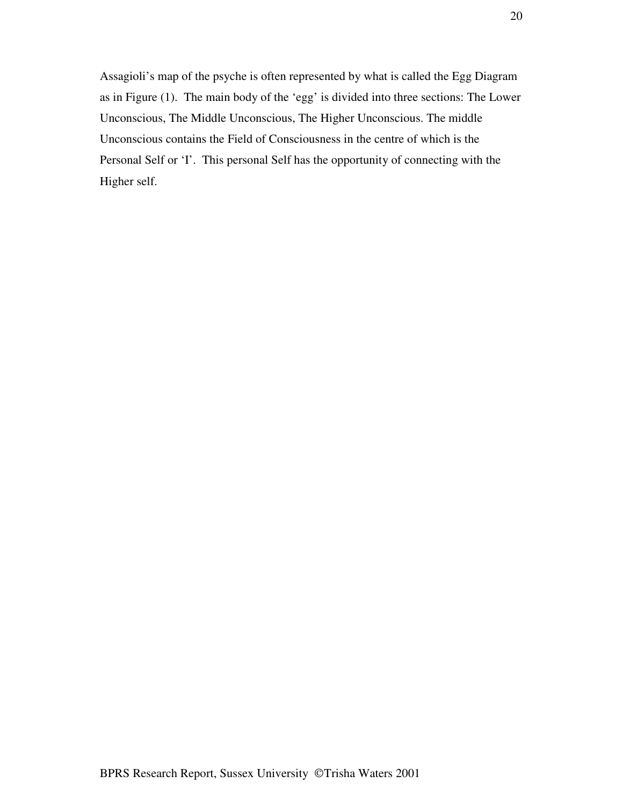Assagioli's map of the psyche is often represented by what is called the Egg Diagram as in Figure (1). The main body of the 'egg' is divided into three sections: The Lower Unconscious, The Middle Unconscious, The Higher Unconscious. The middle Unconscious contains the Field of Consciousness in the centre of which is the Personal Self or 'I'. This personal Self has the opportunity of connecting with the Higher self.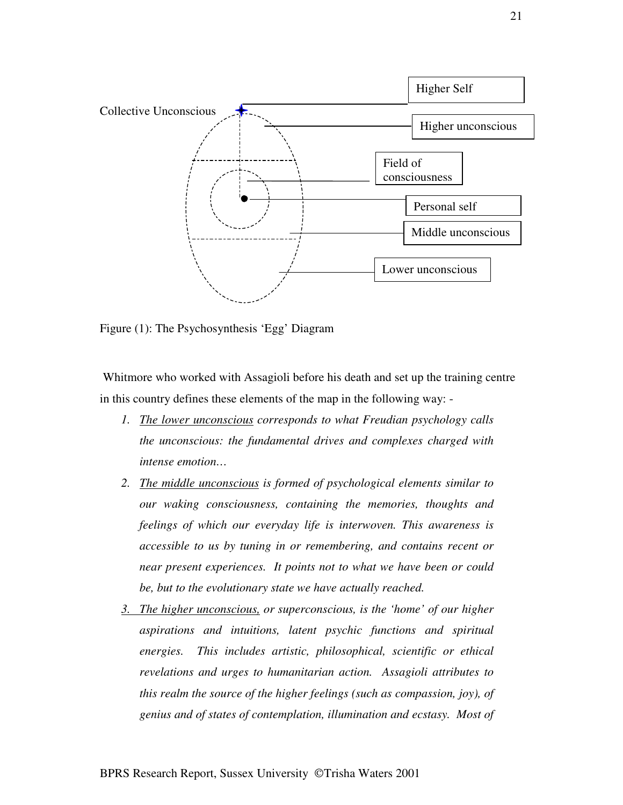

Figure (1): The Psychosynthesis 'Egg' Diagram

Whitmore who worked with Assagioli before his death and set up the training centre in this country defines these elements of the map in the following way: -

- *1. The lower unconscious corresponds to what Freudian psychology calls the unconscious: the fundamental drives and complexes charged with intense emotion…*
- *2. The middle unconscious is formed of psychological elements similar to our waking consciousness, containing the memories, thoughts and feelings of which our everyday life is interwoven. This awareness is accessible to us by tuning in or remembering, and contains recent or near present experiences. It points not to what we have been or could be, but to the evolutionary state we have actually reached.*
- *3. The higher unconscious, or superconscious, is the 'home' of our higher aspirations and intuitions, latent psychic functions and spiritual energies. This includes artistic, philosophical, scientific or ethical revelations and urges to humanitarian action. Assagioli attributes to this realm the source of the higher feelings (such as compassion, joy), of genius and of states of contemplation, illumination and ecstasy. Most of*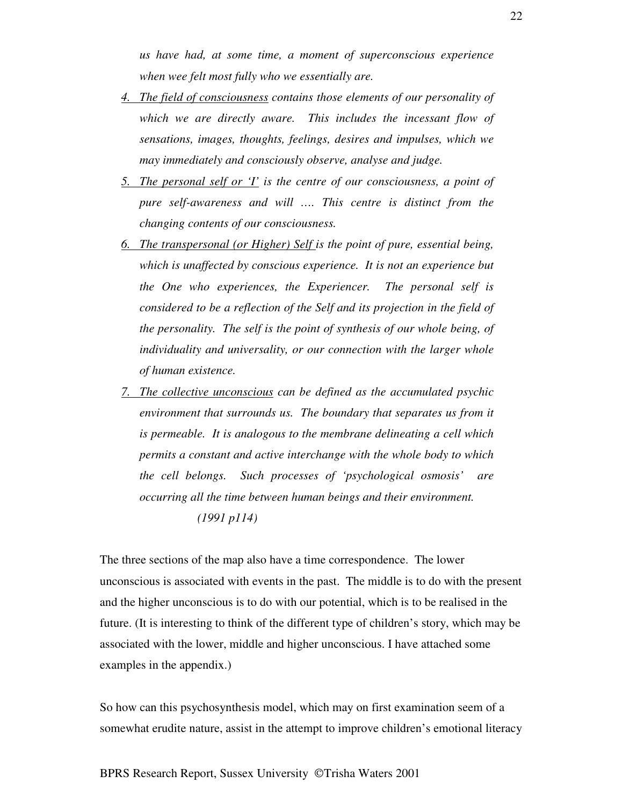*us have had, at some time, a moment of superconscious experience when wee felt most fully who we essentially are.*

- *4. The field of consciousness contains those elements of our personality of which we are directly aware. This includes the incessant flow of sensations, images, thoughts, feelings, desires and impulses, which we may immediately and consciously observe, analyse and judge.*
- *5. The personal self or 'I' is the centre of our consciousness, a point of pure self-awareness and will …. This centre is distinct from the changing contents of our consciousness.*
- *6. The transpersonal (or Higher) Self is the point of pure, essential being, which is unaffected by conscious experience. It is not an experience but the One who experiences, the Experiencer. The personal self is considered to be a reflection of the Self and its projection in the field of the personality. The self is the point of synthesis of our whole being, of individuality and universality, or our connection with the larger whole of human existence.*
- *7. The collective unconscious can be defined as the accumulated psychic environment that surrounds us. The boundary that separates us from it is permeable. It is analogous to the membrane delineating a cell which permits a constant and active interchange with the whole body to which the cell belongs. Such processes of 'psychological osmosis' are occurring all the time between human beings and their environment. (1991 p114)*

The three sections of the map also have a time correspondence. The lower unconscious is associated with events in the past. The middle is to do with the present and the higher unconscious is to do with our potential, which is to be realised in the future. (It is interesting to think of the different type of children's story, which may be associated with the lower, middle and higher unconscious. I have attached some examples in the appendix.)

So how can this psychosynthesis model, which may on first examination seem of a somewhat erudite nature, assist in the attempt to improve children's emotional literacy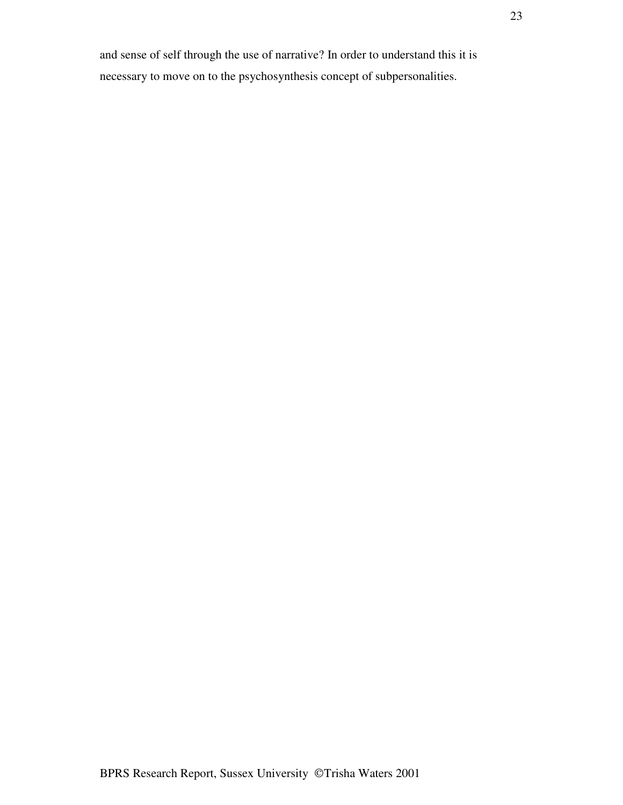and sense of self through the use of narrative? In order to understand this it is necessary to move on to the psychosynthesis concept of subpersonalities.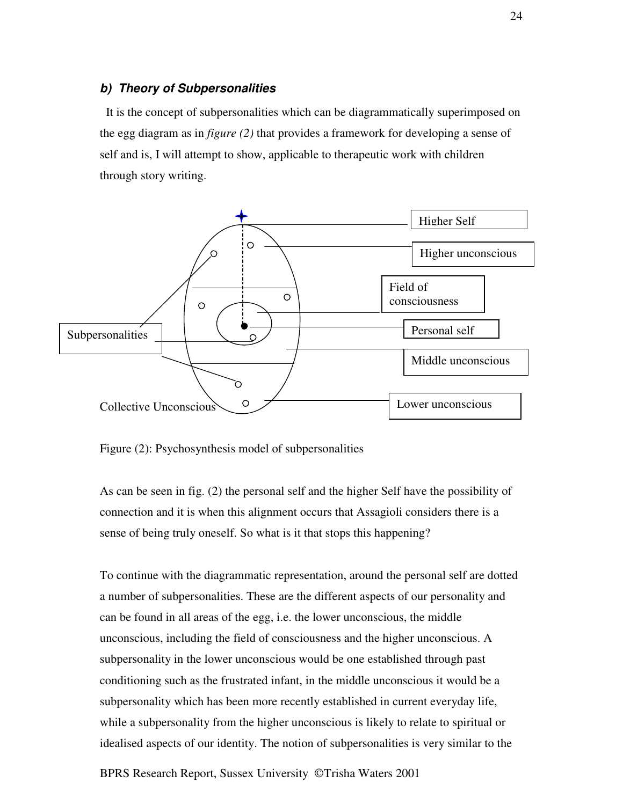#### *b) Theory of Subpersonalities*

It is the concept of subpersonalities which can be diagrammatically superimposed on the egg diagram as in *figure (2)* that provides a framework for developing a sense of self and is, I will attempt to show, applicable to therapeutic work with children through story writing.



Figure (2): Psychosynthesis model of subpersonalities

As can be seen in fig. (2) the personal self and the higher Self have the possibility of connection and it is when this alignment occurs that Assagioli considers there is a sense of being truly oneself. So what is it that stops this happening?

To continue with the diagrammatic representation, around the personal self are dotted a number of subpersonalities. These are the different aspects of our personality and can be found in all areas of the egg, i.e. the lower unconscious, the middle unconscious, including the field of consciousness and the higher unconscious. A subpersonality in the lower unconscious would be one established through past conditioning such as the frustrated infant, in the middle unconscious it would be a subpersonality which has been more recently established in current everyday life, while a subpersonality from the higher unconscious is likely to relate to spiritual or idealised aspects of our identity. The notion of subpersonalities is very similar to the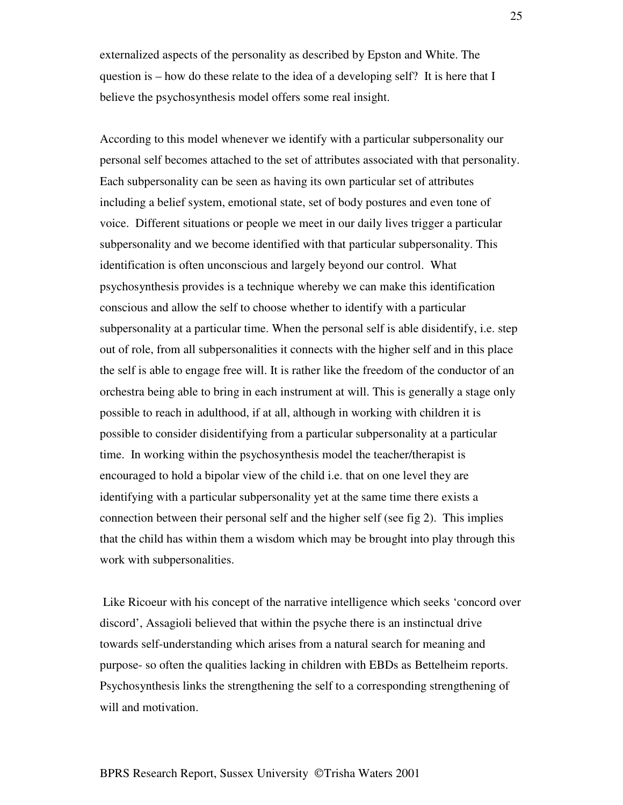externalized aspects of the personality as described by Epston and White. The question is – how do these relate to the idea of a developing self? It is here that I believe the psychosynthesis model offers some real insight.

According to this model whenever we identify with a particular subpersonality our personal self becomes attached to the set of attributes associated with that personality. Each subpersonality can be seen as having its own particular set of attributes including a belief system, emotional state, set of body postures and even tone of voice. Different situations or people we meet in our daily lives trigger a particular subpersonality and we become identified with that particular subpersonality. This identification is often unconscious and largely beyond our control. What psychosynthesis provides is a technique whereby we can make this identification conscious and allow the self to choose whether to identify with a particular subpersonality at a particular time. When the personal self is able disidentify, i.e. step out of role, from all subpersonalities it connects with the higher self and in this place the self is able to engage free will. It is rather like the freedom of the conductor of an orchestra being able to bring in each instrument at will. This is generally a stage only possible to reach in adulthood, if at all, although in working with children it is possible to consider disidentifying from a particular subpersonality at a particular time. In working within the psychosynthesis model the teacher/therapist is encouraged to hold a bipolar view of the child i.e. that on one level they are identifying with a particular subpersonality yet at the same time there exists a connection between their personal self and the higher self (see fig 2). This implies that the child has within them a wisdom which may be brought into play through this work with subpersonalities.

Like Ricoeur with his concept of the narrative intelligence which seeks 'concord over discord', Assagioli believed that within the psyche there is an instinctual drive towards self-understanding which arises from a natural search for meaning and purpose- so often the qualities lacking in children with EBDs as Bettelheim reports. Psychosynthesis links the strengthening the self to a corresponding strengthening of will and motivation.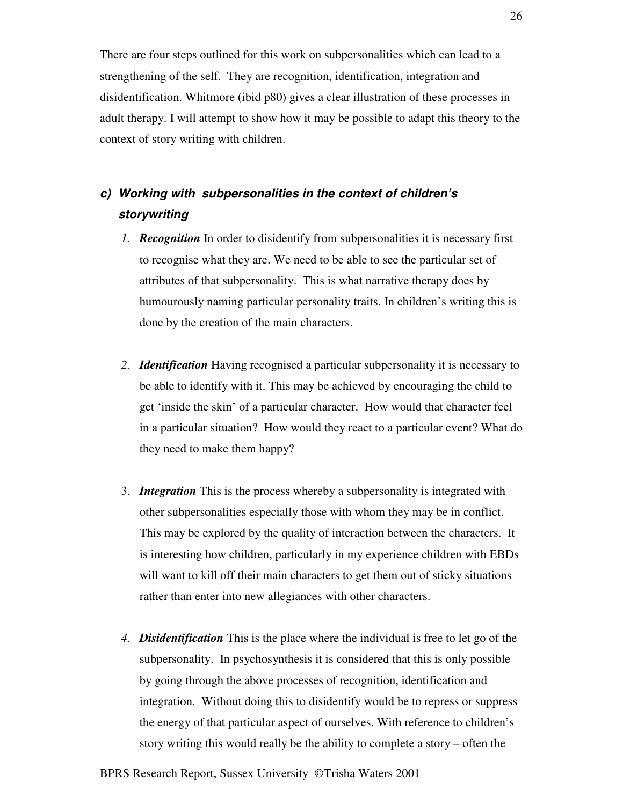There are four steps outlined for this work on subpersonalities which can lead to a strengthening of the self. They are recognition, identification, integration and disidentification. Whitmore (ibid p80) gives a clear illustration of these processes in adult therapy. I will attempt to show how it may be possible to adapt this theory to the context of story writing with children.

# *c) Working with subpersonalities in the context of children's storywriting*

- *1. Recognition* In order to disidentify from subpersonalities it is necessary first to recognise what they are. We need to be able to see the particular set of attributes of that subpersonality. This is what narrative therapy does by humourously naming particular personality traits. In children's writing this is done by the creation of the main characters.
- *2. Identification* Having recognised a particular subpersonality it is necessary to be able to identify with it. This may be achieved by encouraging the child to get 'inside the skin' of a particular character. How would that character feel in a particular situation? How would they react to a particular event? What do they need to make them happy?
- 3. *Integration* This is the process whereby a subpersonality is integrated with other subpersonalities especially those with whom they may be in conflict. This may be explored by the quality of interaction between the characters. It is interesting how children, particularly in my experience children with EBDs will want to kill off their main characters to get them out of sticky situations rather than enter into new allegiances with other characters.
- *4. Disidentification* This is the place where the individual is free to let go of the subpersonality. In psychosynthesis it is considered that this is only possible by going through the above processes of recognition, identification and integration. Without doing this to disidentify would be to repress or suppress the energy of that particular aspect of ourselves. With reference to children's story writing this would really be the ability to complete a story – often the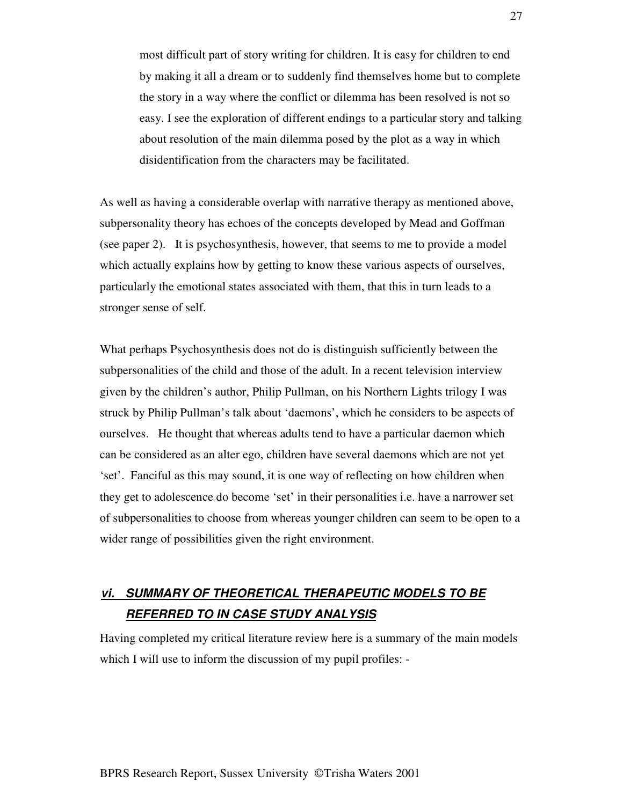most difficult part of story writing for children. It is easy for children to end by making it all a dream or to suddenly find themselves home but to complete the story in a way where the conflict or dilemma has been resolved is not so easy. I see the exploration of different endings to a particular story and talking about resolution of the main dilemma posed by the plot as a way in which disidentification from the characters may be facilitated.

As well as having a considerable overlap with narrative therapy as mentioned above, subpersonality theory has echoes of the concepts developed by Mead and Goffman (see paper 2). It is psychosynthesis, however, that seems to me to provide a model which actually explains how by getting to know these various aspects of ourselves, particularly the emotional states associated with them, that this in turn leads to a stronger sense of self.

What perhaps Psychosynthesis does not do is distinguish sufficiently between the subpersonalities of the child and those of the adult. In a recent television interview given by the children's author, Philip Pullman, on his Northern Lights trilogy I was struck by Philip Pullman's talk about 'daemons', which he considers to be aspects of ourselves. He thought that whereas adults tend to have a particular daemon which can be considered as an alter ego, children have several daemons which are not yet 'set'. Fanciful as this may sound, it is one way of reflecting on how children when they get to adolescence do become 'set' in their personalities i.e. have a narrower set of subpersonalities to choose from whereas younger children can seem to be open to a wider range of possibilities given the right environment.

# *vi. SUMMARY OF THEORETICAL THERAPEUTIC MODELS TO BE REFERRED TO IN CASE STUDY ANALYSIS*

Having completed my critical literature review here is a summary of the main models which I will use to inform the discussion of my pupil profiles: -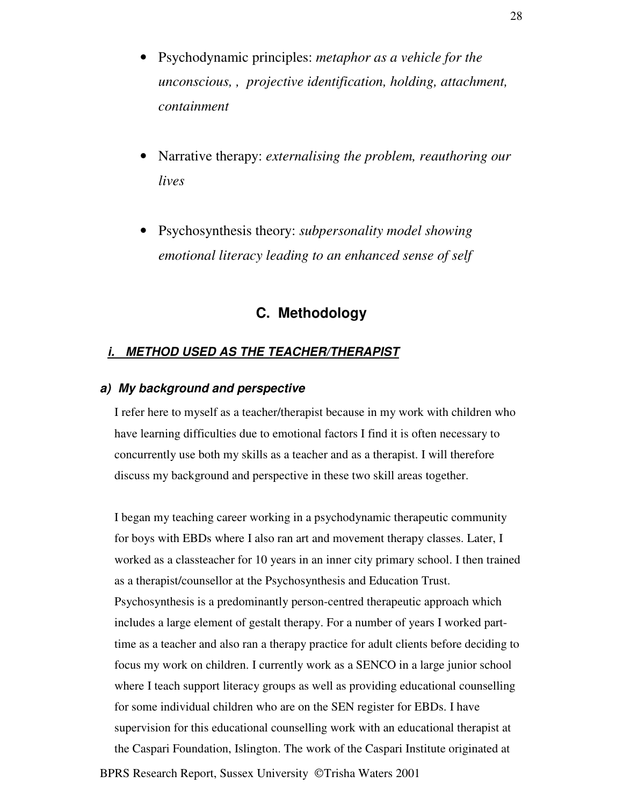- Psychodynamic principles: *metaphor as a vehicle for the unconscious, , projective identification, holding, attachment, containment*
- Narrative therapy: *externalising the problem, reauthoring our lives*
- Psychosynthesis theory: *subpersonality model showing emotional literacy leading to an enhanced sense of self*

# **C. Methodology**

## *i. METHOD USED AS THE TEACHER/THERAPIST*

#### *a) My background and perspective*

I refer here to myself as a teacher/therapist because in my work with children who have learning difficulties due to emotional factors I find it is often necessary to concurrently use both my skills as a teacher and as a therapist. I will therefore discuss my background and perspective in these two skill areas together.

I began my teaching career working in a psychodynamic therapeutic community for boys with EBDs where I also ran art and movement therapy classes. Later, I worked as a classteacher for 10 years in an inner city primary school. I then trained as a therapist/counsellor at the Psychosynthesis and Education Trust. Psychosynthesis is a predominantly person-centred therapeutic approach which includes a large element of gestalt therapy. For a number of years I worked parttime as a teacher and also ran a therapy practice for adult clients before deciding to focus my work on children. I currently work as a SENCO in a large junior school where I teach support literacy groups as well as providing educational counselling for some individual children who are on the SEN register for EBDs. I have supervision for this educational counselling work with an educational therapist at the Caspari Foundation, Islington. The work of the Caspari Institute originated at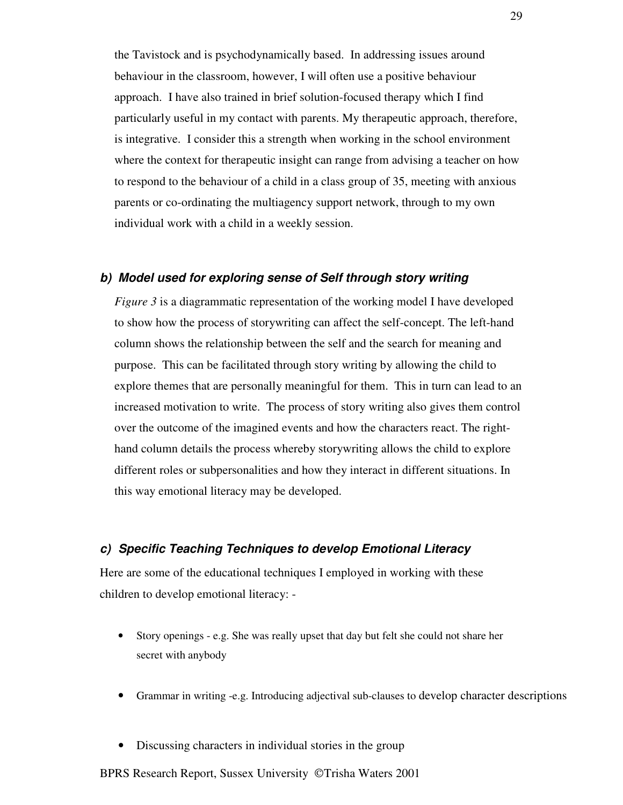the Tavistock and is psychodynamically based. In addressing issues around behaviour in the classroom, however, I will often use a positive behaviour approach. I have also trained in brief solution-focused therapy which I find particularly useful in my contact with parents. My therapeutic approach, therefore, is integrative. I consider this a strength when working in the school environment where the context for therapeutic insight can range from advising a teacher on how to respond to the behaviour of a child in a class group of 35, meeting with anxious parents or co-ordinating the multiagency support network, through to my own individual work with a child in a weekly session.

#### *b) Model used for exploring sense of Self through story writing*

*Figure 3* is a diagrammatic representation of the working model I have developed to show how the process of storywriting can affect the self-concept. The left-hand column shows the relationship between the self and the search for meaning and purpose. This can be facilitated through story writing by allowing the child to explore themes that are personally meaningful for them. This in turn can lead to an increased motivation to write. The process of story writing also gives them control over the outcome of the imagined events and how the characters react. The righthand column details the process whereby storywriting allows the child to explore different roles or subpersonalities and how they interact in different situations. In this way emotional literacy may be developed.

# *c) Specific Teaching Techniques to develop Emotional Literacy*

Here are some of the educational techniques I employed in working with these children to develop emotional literacy: -

- Story openings e.g. She was really upset that day but felt she could not share her secret with anybody
- Grammar in writing -e.g. Introducing adjectival sub-clauses to develop character descriptions
- Discussing characters in individual stories in the group

BPRS Research Report, Sussex University ©Trisha Waters 2001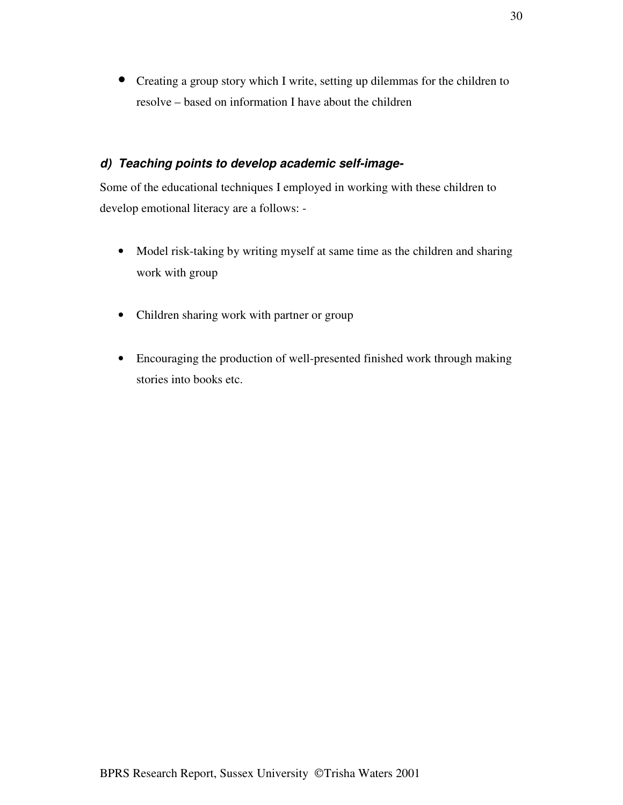• Creating a group story which I write, setting up dilemmas for the children to resolve – based on information I have about the children

# *d) Teaching points to develop academic self-image-*

Some of the educational techniques I employed in working with these children to develop emotional literacy are a follows: -

- Model risk-taking by writing myself at same time as the children and sharing work with group
- Children sharing work with partner or group
- Encouraging the production of well-presented finished work through making stories into books etc.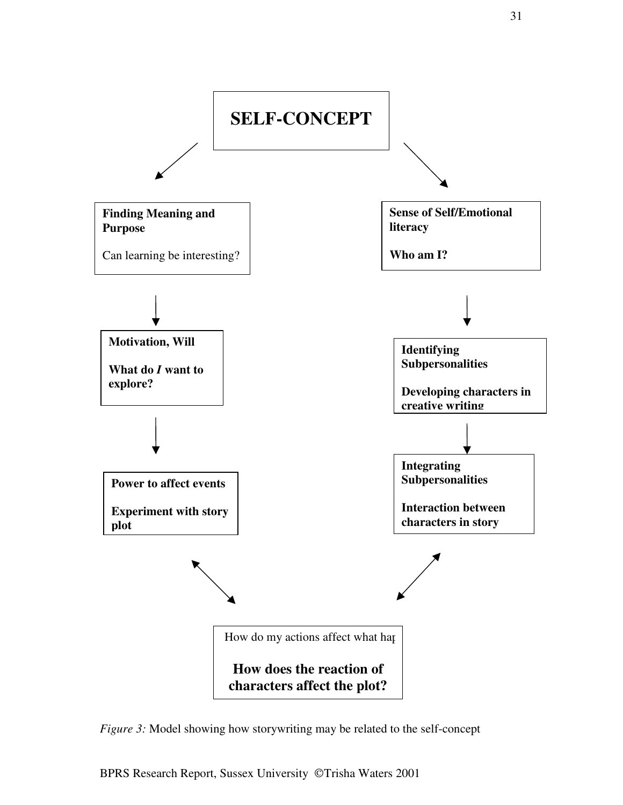

*Figure* 3: Model showing how storywriting may be related to the self-concept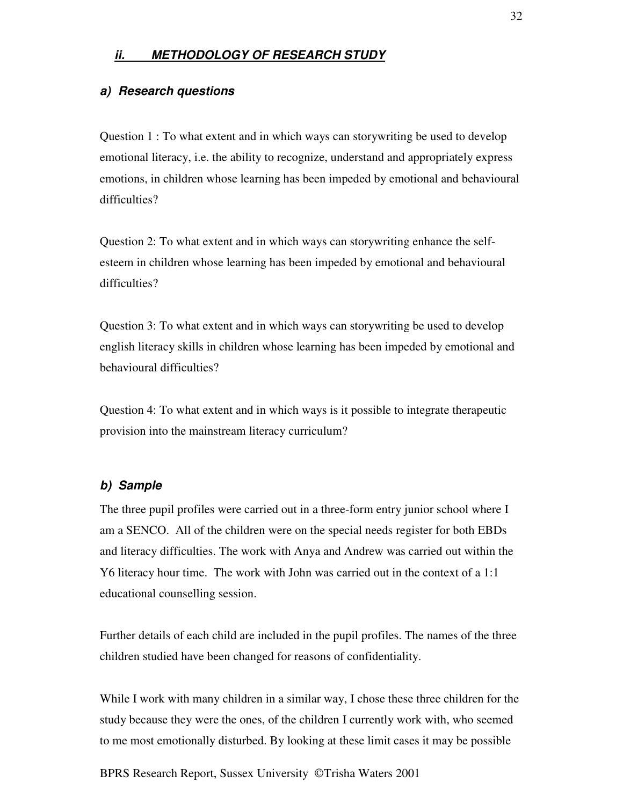# *ii. METHODOLOGY OF RESEARCH STUDY*

### *a) Research questions*

Question 1 : To what extent and in which ways can storywriting be used to develop emotional literacy, i.e. the ability to recognize, understand and appropriately express emotions, in children whose learning has been impeded by emotional and behavioural difficulties?

Question 2: To what extent and in which ways can storywriting enhance the selfesteem in children whose learning has been impeded by emotional and behavioural difficulties?

Question 3: To what extent and in which ways can storywriting be used to develop english literacy skills in children whose learning has been impeded by emotional and behavioural difficulties?

Question 4: To what extent and in which ways is it possible to integrate therapeutic provision into the mainstream literacy curriculum?

#### *b) Sample*

The three pupil profiles were carried out in a three-form entry junior school where I am a SENCO. All of the children were on the special needs register for both EBDs and literacy difficulties. The work with Anya and Andrew was carried out within the Y6 literacy hour time. The work with John was carried out in the context of a 1:1 educational counselling session.

Further details of each child are included in the pupil profiles. The names of the three children studied have been changed for reasons of confidentiality.

While I work with many children in a similar way, I chose these three children for the study because they were the ones, of the children I currently work with, who seemed to me most emotionally disturbed. By looking at these limit cases it may be possible

BPRS Research Report, Sussex University ©Trisha Waters 2001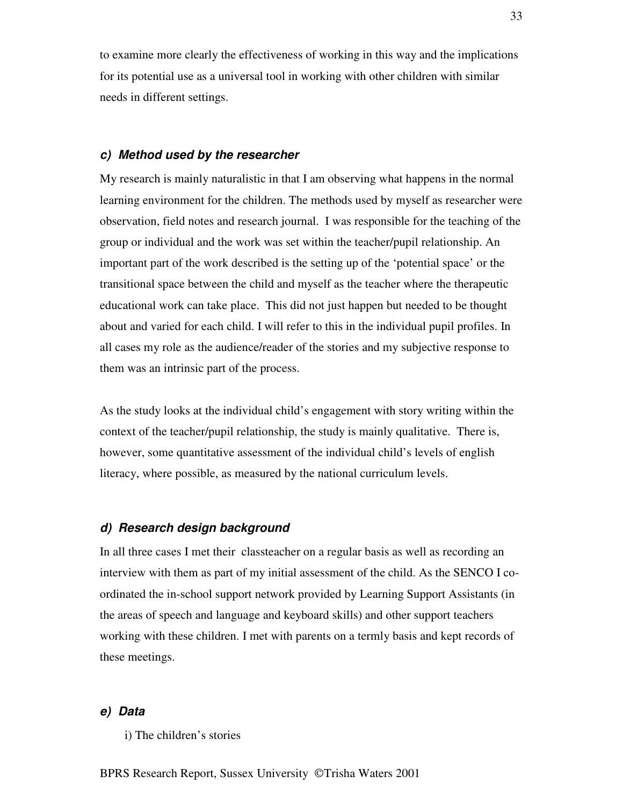to examine more clearly the effectiveness of working in this way and the implications for its potential use as a universal tool in working with other children with similar needs in different settings.

#### *c) Method used by the researcher*

My research is mainly naturalistic in that I am observing what happens in the normal learning environment for the children. The methods used by myself as researcher were observation, field notes and research journal. I was responsible for the teaching of the group or individual and the work was set within the teacher/pupil relationship. An important part of the work described is the setting up of the 'potential space' or the transitional space between the child and myself as the teacher where the therapeutic educational work can take place. This did not just happen but needed to be thought about and varied for each child. I will refer to this in the individual pupil profiles. In all cases my role as the audience/reader of the stories and my subjective response to them was an intrinsic part of the process.

As the study looks at the individual child's engagement with story writing within the context of the teacher/pupil relationship, the study is mainly qualitative. There is, however, some quantitative assessment of the individual child's levels of english literacy, where possible, as measured by the national curriculum levels.

#### *d) Research design background*

In all three cases I met their classteacher on a regular basis as well as recording an interview with them as part of my initial assessment of the child. As the SENCO I coordinated the in-school support network provided by Learning Support Assistants (in the areas of speech and language and keyboard skills) and other support teachers working with these children. I met with parents on a termly basis and kept records of these meetings.

#### *e) Data*

i) The children's stories

BPRS Research Report, Sussex University ©Trisha Waters 2001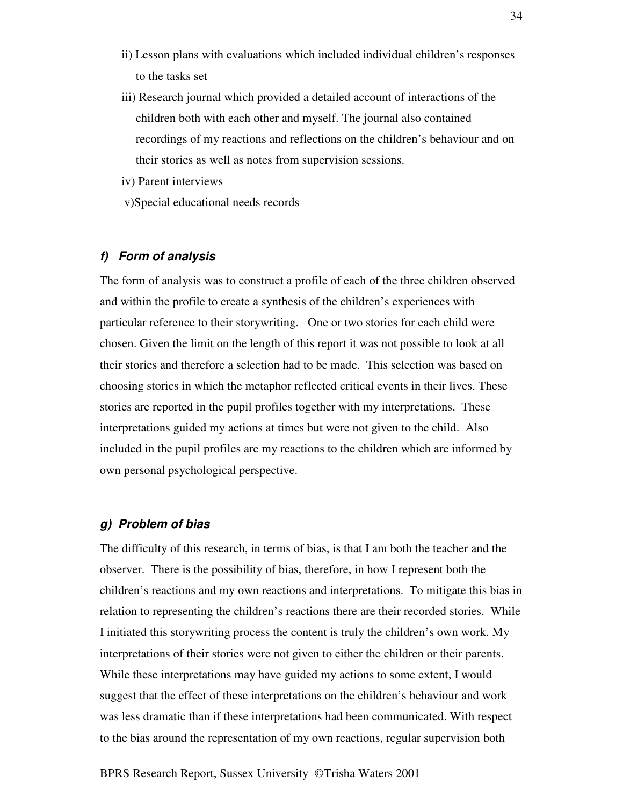- ii) Lesson plans with evaluations which included individual children's responses to the tasks set
- iii) Research journal which provided a detailed account of interactions of the children both with each other and myself. The journal also contained recordings of my reactions and reflections on the children's behaviour and on their stories as well as notes from supervision sessions.
- iv) Parent interviews
- v)Special educational needs records

## *f) Form of analysis*

The form of analysis was to construct a profile of each of the three children observed and within the profile to create a synthesis of the children's experiences with particular reference to their storywriting. One or two stories for each child were chosen. Given the limit on the length of this report it was not possible to look at all their stories and therefore a selection had to be made. This selection was based on choosing stories in which the metaphor reflected critical events in their lives. These stories are reported in the pupil profiles together with my interpretations. These interpretations guided my actions at times but were not given to the child. Also included in the pupil profiles are my reactions to the children which are informed by own personal psychological perspective.

#### *g) Problem of bias*

The difficulty of this research, in terms of bias, is that I am both the teacher and the observer. There is the possibility of bias, therefore, in how I represent both the children's reactions and my own reactions and interpretations. To mitigate this bias in relation to representing the children's reactions there are their recorded stories. While I initiated this storywriting process the content is truly the children's own work. My interpretations of their stories were not given to either the children or their parents. While these interpretations may have guided my actions to some extent, I would suggest that the effect of these interpretations on the children's behaviour and work was less dramatic than if these interpretations had been communicated. With respect to the bias around the representation of my own reactions, regular supervision both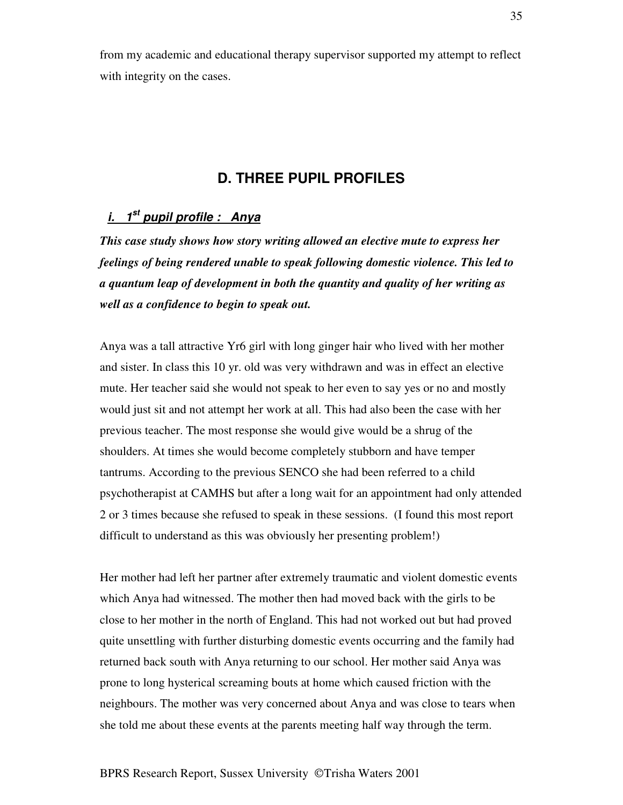from my academic and educational therapy supervisor supported my attempt to reflect with integrity on the cases.

# **D. THREE PUPIL PROFILES**

# *i. 1 st pupil profile : Anya*

*This case study shows how story writing allowed an elective mute to express her feelings of being rendered unable to speak following domestic violence. This led to a quantum leap of development in both the quantity and quality of her writing as well as a confidence to begin to speak out.*

Anya was a tall attractive Yr6 girl with long ginger hair who lived with her mother and sister. In class this 10 yr. old was very withdrawn and was in effect an elective mute. Her teacher said she would not speak to her even to say yes or no and mostly would just sit and not attempt her work at all. This had also been the case with her previous teacher. The most response she would give would be a shrug of the shoulders. At times she would become completely stubborn and have temper tantrums. According to the previous SENCO she had been referred to a child psychotherapist at CAMHS but after a long wait for an appointment had only attended 2 or 3 times because she refused to speak in these sessions. (I found this most report difficult to understand as this was obviously her presenting problem!)

Her mother had left her partner after extremely traumatic and violent domestic events which Anya had witnessed. The mother then had moved back with the girls to be close to her mother in the north of England. This had not worked out but had proved quite unsettling with further disturbing domestic events occurring and the family had returned back south with Anya returning to our school. Her mother said Anya was prone to long hysterical screaming bouts at home which caused friction with the neighbours. The mother was very concerned about Anya and was close to tears when she told me about these events at the parents meeting half way through the term.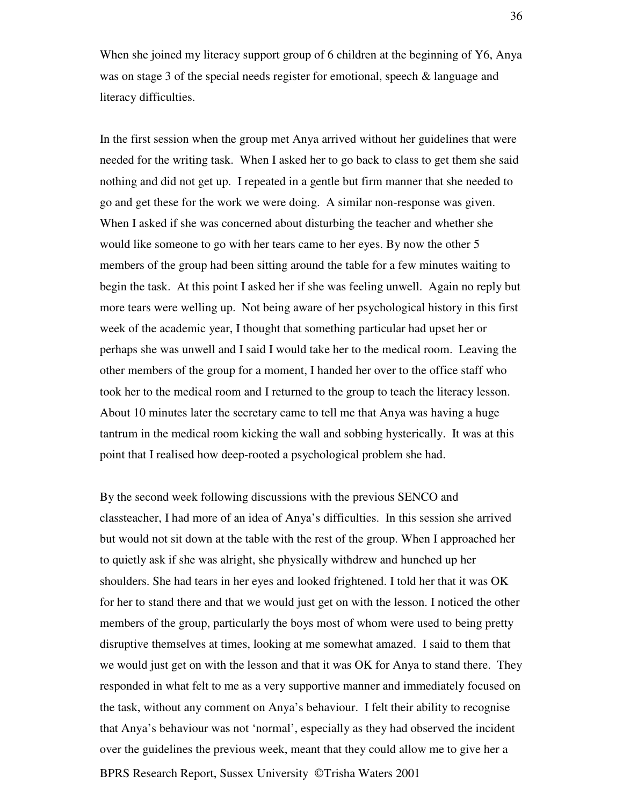When she joined my literacy support group of 6 children at the beginning of Y6, Anya was on stage 3 of the special needs register for emotional, speech & language and literacy difficulties.

In the first session when the group met Anya arrived without her guidelines that were needed for the writing task. When I asked her to go back to class to get them she said nothing and did not get up. I repeated in a gentle but firm manner that she needed to go and get these for the work we were doing. A similar non-response was given. When I asked if she was concerned about disturbing the teacher and whether she would like someone to go with her tears came to her eyes. By now the other 5 members of the group had been sitting around the table for a few minutes waiting to begin the task. At this point I asked her if she was feeling unwell. Again no reply but more tears were welling up. Not being aware of her psychological history in this first week of the academic year, I thought that something particular had upset her or perhaps she was unwell and I said I would take her to the medical room. Leaving the other members of the group for a moment, I handed her over to the office staff who took her to the medical room and I returned to the group to teach the literacy lesson. About 10 minutes later the secretary came to tell me that Anya was having a huge tantrum in the medical room kicking the wall and sobbing hysterically. It was at this point that I realised how deep-rooted a psychological problem she had.

BPRS Research Report, Sussex University © Trisha Waters 2001 By the second week following discussions with the previous SENCO and classteacher, I had more of an idea of Anya's difficulties. In this session she arrived but would not sit down at the table with the rest of the group. When I approached her to quietly ask if she was alright, she physically withdrew and hunched up her shoulders. She had tears in her eyes and looked frightened. I told her that it was OK for her to stand there and that we would just get on with the lesson. I noticed the other members of the group, particularly the boys most of whom were used to being pretty disruptive themselves at times, looking at me somewhat amazed. I said to them that we would just get on with the lesson and that it was OK for Anya to stand there. They responded in what felt to me as a very supportive manner and immediately focused on the task, without any comment on Anya's behaviour. I felt their ability to recognise that Anya's behaviour was not 'normal', especially as they had observed the incident over the guidelines the previous week, meant that they could allow me to give her a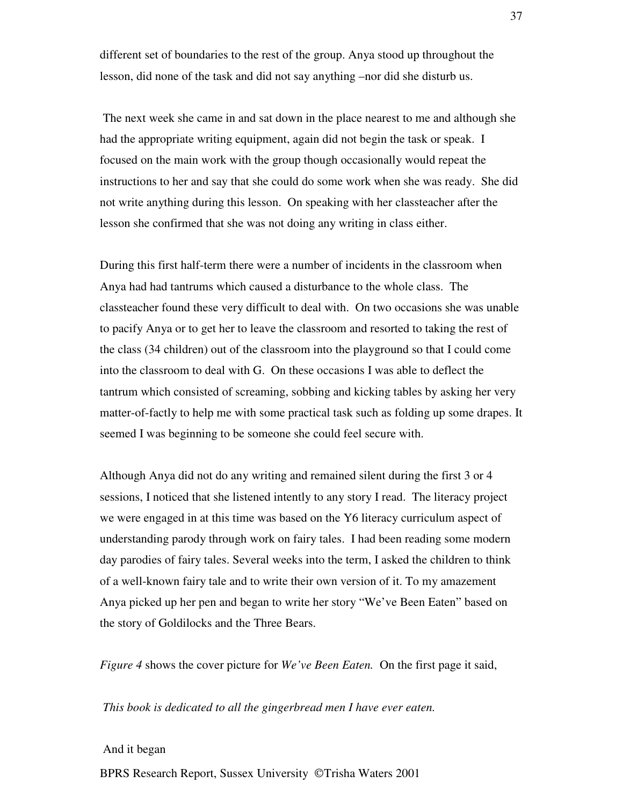different set of boundaries to the rest of the group. Anya stood up throughout the lesson, did none of the task and did not say anything –nor did she disturb us.

The next week she came in and sat down in the place nearest to me and although she had the appropriate writing equipment, again did not begin the task or speak. I focused on the main work with the group though occasionally would repeat the instructions to her and say that she could do some work when she was ready. She did not write anything during this lesson. On speaking with her classteacher after the lesson she confirmed that she was not doing any writing in class either.

During this first half-term there were a number of incidents in the classroom when Anya had had tantrums which caused a disturbance to the whole class. The classteacher found these very difficult to deal with. On two occasions she was unable to pacify Anya or to get her to leave the classroom and resorted to taking the rest of the class (34 children) out of the classroom into the playground so that I could come into the classroom to deal with G. On these occasions I was able to deflect the tantrum which consisted of screaming, sobbing and kicking tables by asking her very matter-of-factly to help me with some practical task such as folding up some drapes. It seemed I was beginning to be someone she could feel secure with.

Although Anya did not do any writing and remained silent during the first 3 or 4 sessions, I noticed that she listened intently to any story I read. The literacy project we were engaged in at this time was based on the Y6 literacy curriculum aspect of understanding parody through work on fairy tales. I had been reading some modern day parodies of fairy tales. Several weeks into the term, I asked the children to think of a well-known fairy tale and to write their own version of it. To my amazement Anya picked up her pen and began to write her story "We've Been Eaten" based on the story of Goldilocks and the Three Bears.

*Figure 4* shows the cover picture for *We've Been Eaten.* On the first page it said,

*This book is dedicated to all the gingerbread men I have ever eaten.*

#### And it began

BPRS Research Report, Sussex University © Trisha Waters 2001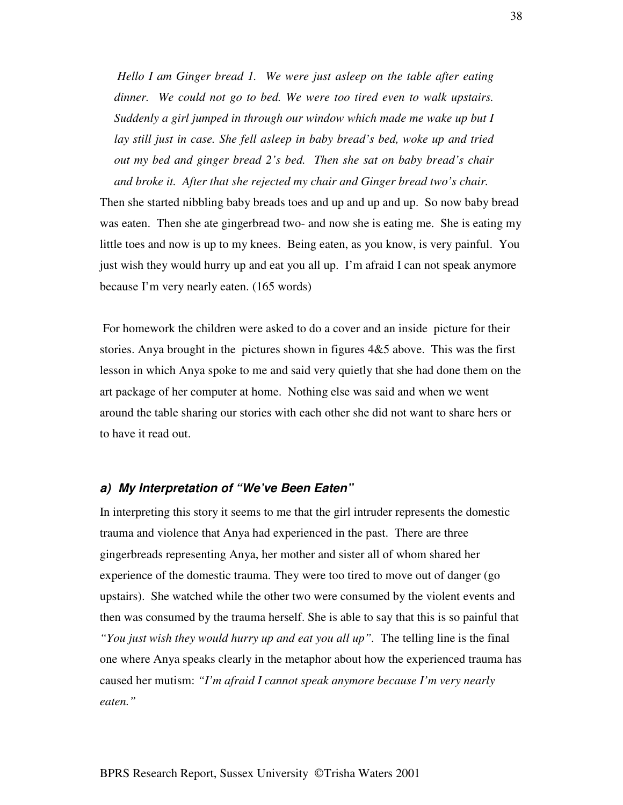*Hello I am Ginger bread 1. We were just asleep on the table after eating dinner. We could not go to bed. We were too tired even to walk upstairs. Suddenly a girl jumped in through our window which made me wake up but I lay still just in case. She fell asleep in baby bread's bed, woke up and tried out my bed and ginger bread 2's bed. Then she sat on baby bread's chair and broke it. After that she rejected my chair and Ginger bread two's chair.*

Then she started nibbling baby breads toes and up and up and up. So now baby bread was eaten. Then she ate gingerbread two- and now she is eating me. She is eating my little toes and now is up to my knees. Being eaten, as you know, is very painful. You just wish they would hurry up and eat you all up. I'm afraid I can not speak anymore because I'm very nearly eaten. (165 words)

For homework the children were asked to do a cover and an inside picture for their stories. Anya brought in the pictures shown in figures 4&5 above. This was the first lesson in which Anya spoke to me and said very quietly that she had done them on the art package of her computer at home. Nothing else was said and when we went around the table sharing our stories with each other she did not want to share hers or to have it read out.

## *a) My Interpretation of "We've Been Eaten"*

In interpreting this story it seems to me that the girl intruder represents the domestic trauma and violence that Anya had experienced in the past. There are three gingerbreads representing Anya, her mother and sister all of whom shared her experience of the domestic trauma. They were too tired to move out of danger (go upstairs). She watched while the other two were consumed by the violent events and then was consumed by the trauma herself. She is able to say that this is so painful that *"You just wish they would hurry up and eat you all up".* The telling line is the final one where Anya speaks clearly in the metaphor about how the experienced trauma has caused her mutism: *"I'm afraid I cannot speak anymore because I'm very nearly eaten."*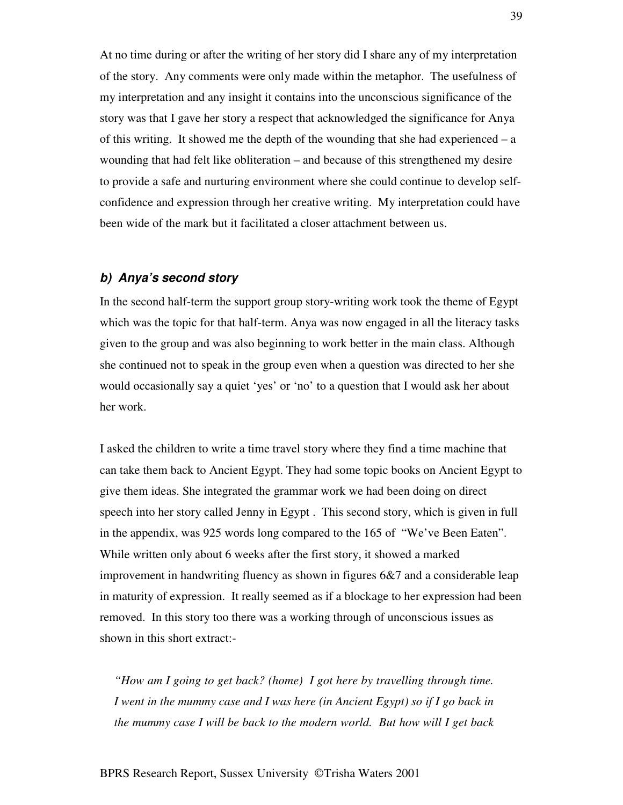At no time during or after the writing of her story did I share any of my interpretation of the story. Any comments were only made within the metaphor. The usefulness of my interpretation and any insight it contains into the unconscious significance of the story was that I gave her story a respect that acknowledged the significance for Anya of this writing. It showed me the depth of the wounding that she had experienced – a wounding that had felt like obliteration – and because of this strengthened my desire to provide a safe and nurturing environment where she could continue to develop selfconfidence and expression through her creative writing. My interpretation could have been wide of the mark but it facilitated a closer attachment between us.

### *b) Anya's second story*

In the second half-term the support group story-writing work took the theme of Egypt which was the topic for that half-term. Anya was now engaged in all the literacy tasks given to the group and was also beginning to work better in the main class. Although she continued not to speak in the group even when a question was directed to her she would occasionally say a quiet 'yes' or 'no' to a question that I would ask her about her work.

I asked the children to write a time travel story where they find a time machine that can take them back to Ancient Egypt. They had some topic books on Ancient Egypt to give them ideas. She integrated the grammar work we had been doing on direct speech into her story called Jenny in Egypt . This second story, which is given in full in the appendix, was 925 words long compared to the 165 of "We've Been Eaten". While written only about 6 weeks after the first story, it showed a marked improvement in handwriting fluency as shown in figures 6&7 and a considerable leap in maturity of expression. It really seemed as if a blockage to her expression had been removed. In this story too there was a working through of unconscious issues as shown in this short extract:-

*"How am I going to get back? (home) I got here by travelling through time. I went in the mummy case and I was here (in Ancient Egypt) so if I go back in the mummy case I will be back to the modern world. But how will I get back*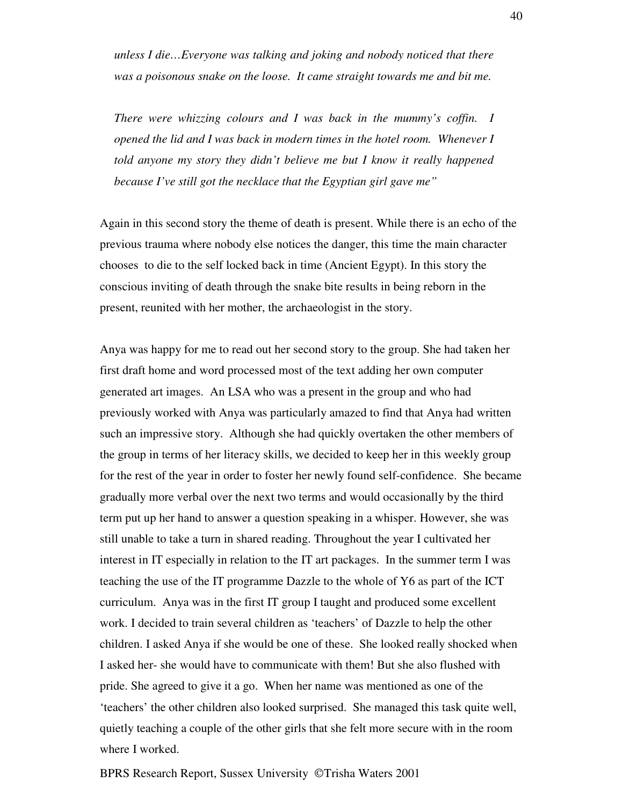*unless I die…Everyone was talking and joking and nobody noticed that there was a poisonous snake on the loose. It came straight towards me and bit me.*

*There were whizzing colours and I was back in the mummy's coffin. I opened the lid and I was back in modern times in the hotel room. Whenever I told anyone my story they didn't believe me but I know it really happened because I've still got the necklace that the Egyptian girl gave me"*

Again in this second story the theme of death is present. While there is an echo of the previous trauma where nobody else notices the danger, this time the main character chooses to die to the self locked back in time (Ancient Egypt). In this story the conscious inviting of death through the snake bite results in being reborn in the present, reunited with her mother, the archaeologist in the story.

Anya was happy for me to read out her second story to the group. She had taken her first draft home and word processed most of the text adding her own computer generated art images. An LSA who was a present in the group and who had previously worked with Anya was particularly amazed to find that Anya had written such an impressive story. Although she had quickly overtaken the other members of the group in terms of her literacy skills, we decided to keep her in this weekly group for the rest of the year in order to foster her newly found self-confidence. She became gradually more verbal over the next two terms and would occasionally by the third term put up her hand to answer a question speaking in a whisper. However, she was still unable to take a turn in shared reading. Throughout the year I cultivated her interest in IT especially in relation to the IT art packages. In the summer term I was teaching the use of the IT programme Dazzle to the whole of Y6 as part of the ICT curriculum. Anya was in the first IT group I taught and produced some excellent work. I decided to train several children as 'teachers' of Dazzle to help the other children. I asked Anya if she would be one of these. She looked really shocked when I asked her- she would have to communicate with them! But she also flushed with pride. She agreed to give it a go. When her name was mentioned as one of the 'teachers' the other children also looked surprised. She managed this task quite well, quietly teaching a couple of the other girls that she felt more secure with in the room where I worked.

BPRS Research Report, Sussex University ©Trisha Waters 2001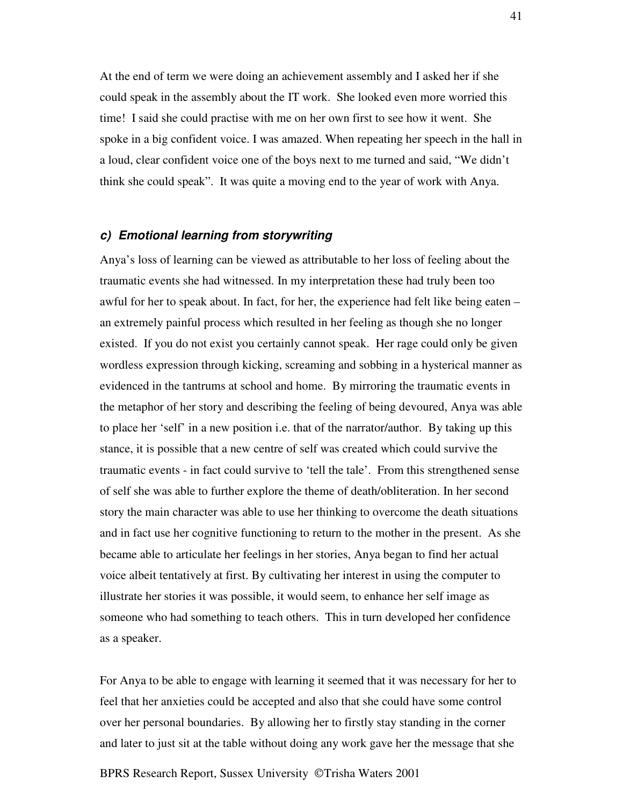At the end of term we were doing an achievement assembly and I asked her if she could speak in the assembly about the IT work. She looked even more worried this time! I said she could practise with me on her own first to see how it went. She spoke in a big confident voice. I was amazed. When repeating her speech in the hall in a loud, clear confident voice one of the boys next to me turned and said, "We didn't think she could speak". It was quite a moving end to the year of work with Anya.

# *c) Emotional learning from storywriting*

Anya's loss of learning can be viewed as attributable to her loss of feeling about the traumatic events she had witnessed. In my interpretation these had truly been too awful for her to speak about. In fact, for her, the experience had felt like being eaten – an extremely painful process which resulted in her feeling as though she no longer existed. If you do not exist you certainly cannot speak. Her rage could only be given wordless expression through kicking, screaming and sobbing in a hysterical manner as evidenced in the tantrums at school and home. By mirroring the traumatic events in the metaphor of her story and describing the feeling of being devoured, Anya was able to place her 'self' in a new position i.e. that of the narrator/author. By taking up this stance, it is possible that a new centre of self was created which could survive the traumatic events - in fact could survive to 'tell the tale'. From this strengthened sense of self she was able to further explore the theme of death/obliteration. In her second story the main character was able to use her thinking to overcome the death situations and in fact use her cognitive functioning to return to the mother in the present. As she became able to articulate her feelings in her stories, Anya began to find her actual voice albeit tentatively at first. By cultivating her interest in using the computer to illustrate her stories it was possible, it would seem, to enhance her self image as someone who had something to teach others. This in turn developed her confidence as a speaker.

For Anya to be able to engage with learning it seemed that it was necessary for her to feel that her anxieties could be accepted and also that she could have some control over her personal boundaries. By allowing her to firstly stay standing in the corner and later to just sit at the table without doing any work gave her the message that she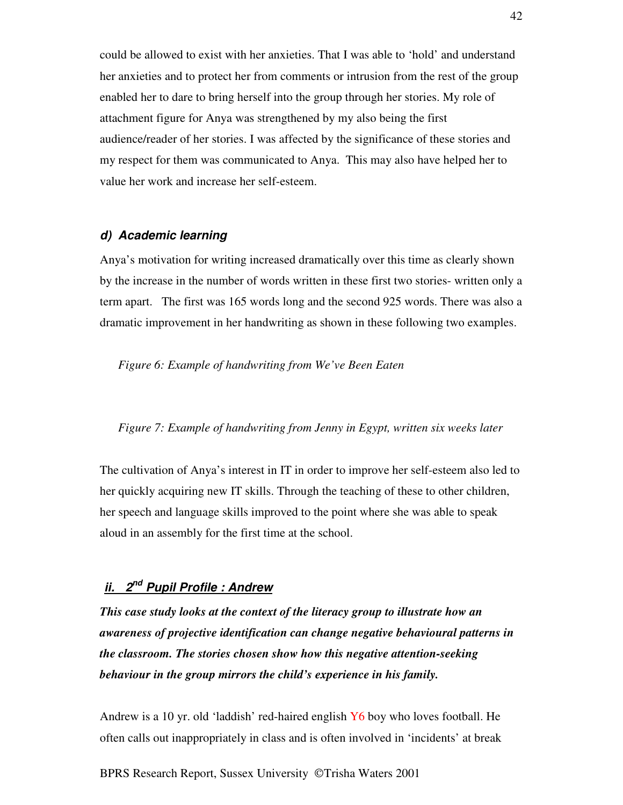could be allowed to exist with her anxieties. That I was able to 'hold' and understand her anxieties and to protect her from comments or intrusion from the rest of the group enabled her to dare to bring herself into the group through her stories. My role of attachment figure for Anya was strengthened by my also being the first audience/reader of her stories. I was affected by the significance of these stories and my respect for them was communicated to Anya. This may also have helped her to value her work and increase her self-esteem.

### *d) Academic learning*

Anya's motivation for writing increased dramatically over this time as clearly shown by the increase in the number of words written in these first two stories- written only a term apart. The first was 165 words long and the second 925 words. There was also a dramatic improvement in her handwriting as shown in these following two examples.

*Figure 6: Example of handwriting from We've Been Eaten*

#### *Figure 7: Example of handwriting from Jenny in Egypt, written six weeks later*

The cultivation of Anya's interest in IT in order to improve her self-esteem also led to her quickly acquiring new IT skills. Through the teaching of these to other children, her speech and language skills improved to the point where she was able to speak aloud in an assembly for the first time at the school.

# *ii. 2 nd Pupil Profile : Andrew*

*This case study looks at the context of the literacy group to illustrate how an awareness of projective identification can change negative behavioural patterns in the classroom. The stories chosen show how this negative attention-seeking behaviour in the group mirrors the child's experience in his family.*

Andrew is a 10 yr. old 'laddish' red-haired english Y6 boy who loves football. He often calls out inappropriately in class and is often involved in 'incidents' at break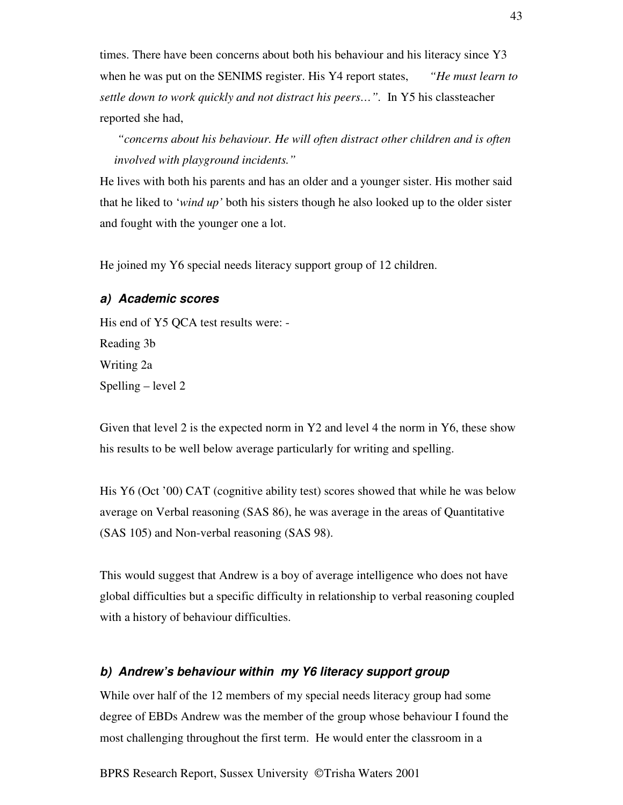times. There have been concerns about both his behaviour and his literacy since Y3 when he was put on the SENIMS register. His Y4 report states, *"He must learn to settle down to work quickly and not distract his peers…".* In Y5 his classteacher reported she had,

*"concerns about his behaviour. He will often distract other children and is often involved with playground incidents."*

He lives with both his parents and has an older and a younger sister. His mother said that he liked to '*wind up'* both his sisters though he also looked up to the older sister and fought with the younger one a lot.

He joined my Y6 special needs literacy support group of 12 children.

# *a) Academic scores*

His end of Y5 QCA test results were: - Reading 3b Writing 2a Spelling – level 2

Given that level 2 is the expected norm in Y2 and level 4 the norm in Y6, these show his results to be well below average particularly for writing and spelling.

His Y6 (Oct '00) CAT (cognitive ability test) scores showed that while he was below average on Verbal reasoning (SAS 86), he was average in the areas of Quantitative (SAS 105) and Non-verbal reasoning (SAS 98).

This would suggest that Andrew is a boy of average intelligence who does not have global difficulties but a specific difficulty in relationship to verbal reasoning coupled with a history of behaviour difficulties.

# *b) Andrew's behaviour within my Y6 literacy support group*

While over half of the 12 members of my special needs literacy group had some degree of EBDs Andrew was the member of the group whose behaviour I found the most challenging throughout the first term. He would enter the classroom in a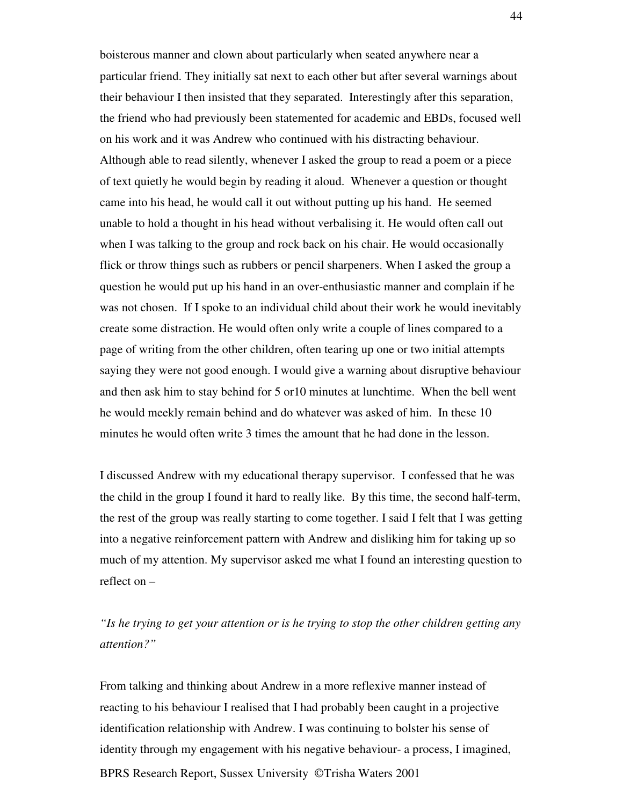boisterous manner and clown about particularly when seated anywhere near a particular friend. They initially sat next to each other but after several warnings about their behaviour I then insisted that they separated. Interestingly after this separation, the friend who had previously been statemented for academic and EBDs, focused well on his work and it was Andrew who continued with his distracting behaviour. Although able to read silently, whenever I asked the group to read a poem or a piece of text quietly he would begin by reading it aloud. Whenever a question or thought came into his head, he would call it out without putting up his hand. He seemed unable to hold a thought in his head without verbalising it. He would often call out when I was talking to the group and rock back on his chair. He would occasionally flick or throw things such as rubbers or pencil sharpeners. When I asked the group a question he would put up his hand in an over-enthusiastic manner and complain if he was not chosen. If I spoke to an individual child about their work he would inevitably create some distraction. He would often only write a couple of lines compared to a page of writing from the other children, often tearing up one or two initial attempts saying they were not good enough. I would give a warning about disruptive behaviour and then ask him to stay behind for 5 or10 minutes at lunchtime. When the bell went he would meekly remain behind and do whatever was asked of him. In these 10 minutes he would often write 3 times the amount that he had done in the lesson.

I discussed Andrew with my educational therapy supervisor. I confessed that he was the child in the group I found it hard to really like. By this time, the second half-term, the rest of the group was really starting to come together. I said I felt that I was getting into a negative reinforcement pattern with Andrew and disliking him for taking up so much of my attention. My supervisor asked me what I found an interesting question to reflect on –

*"Is he trying to get your attention or is he trying to stop the other children getting any attention?"*

BPRS Research Report, Sussex University © Trisha Waters 2001 From talking and thinking about Andrew in a more reflexive manner instead of reacting to his behaviour I realised that I had probably been caught in a projective identification relationship with Andrew. I was continuing to bolster his sense of identity through my engagement with his negative behaviour- a process, I imagined,

44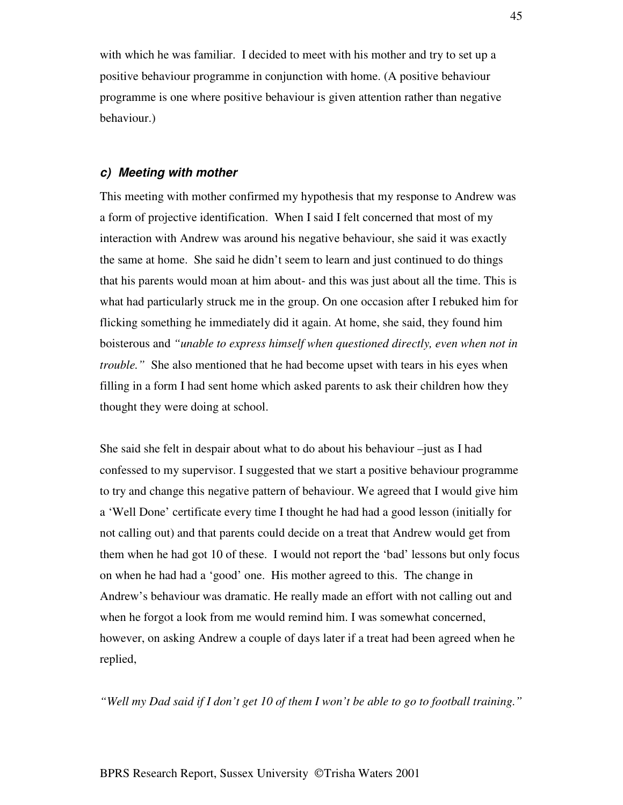with which he was familiar. I decided to meet with his mother and try to set up a positive behaviour programme in conjunction with home. (A positive behaviour programme is one where positive behaviour is given attention rather than negative behaviour.)

#### *c) Meeting with mother*

This meeting with mother confirmed my hypothesis that my response to Andrew was a form of projective identification. When I said I felt concerned that most of my interaction with Andrew was around his negative behaviour, she said it was exactly the same at home. She said he didn't seem to learn and just continued to do things that his parents would moan at him about- and this was just about all the time. This is what had particularly struck me in the group. On one occasion after I rebuked him for flicking something he immediately did it again. At home, she said, they found him boisterous and *"unable to express himself when questioned directly, even when not in trouble.*" She also mentioned that he had become upset with tears in his eyes when filling in a form I had sent home which asked parents to ask their children how they thought they were doing at school.

She said she felt in despair about what to do about his behaviour –just as I had confessed to my supervisor. I suggested that we start a positive behaviour programme to try and change this negative pattern of behaviour. We agreed that I would give him a 'Well Done' certificate every time I thought he had had a good lesson (initially for not calling out) and that parents could decide on a treat that Andrew would get from them when he had got 10 of these. I would not report the 'bad' lessons but only focus on when he had had a 'good' one. His mother agreed to this. The change in Andrew's behaviour was dramatic. He really made an effort with not calling out and when he forgot a look from me would remind him. I was somewhat concerned, however, on asking Andrew a couple of days later if a treat had been agreed when he replied,

"Well my Dad said if I don't get 10 of them I won't be able to go to football training."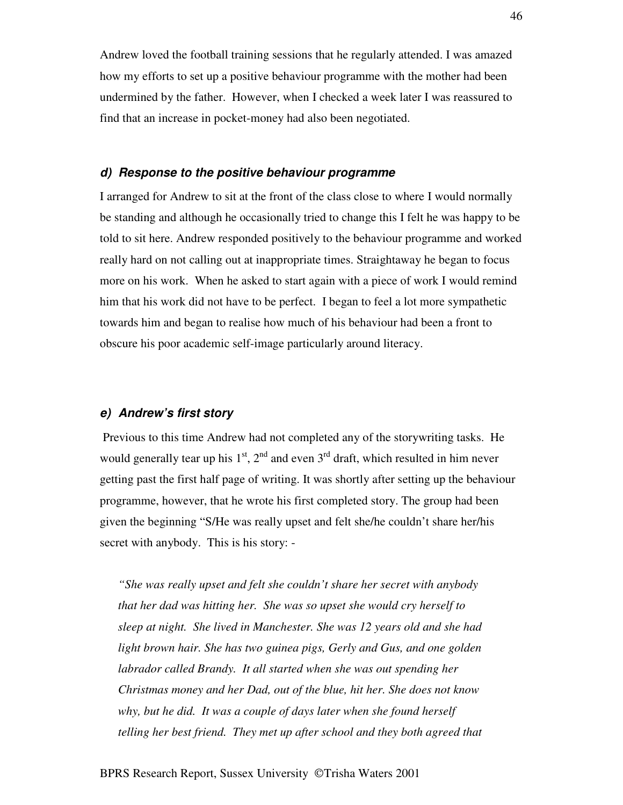Andrew loved the football training sessions that he regularly attended. I was amazed how my efforts to set up a positive behaviour programme with the mother had been undermined by the father. However, when I checked a week later I was reassured to find that an increase in pocket-money had also been negotiated.

#### *d) Response to the positive behaviour programme*

I arranged for Andrew to sit at the front of the class close to where I would normally be standing and although he occasionally tried to change this I felt he was happy to be told to sit here. Andrew responded positively to the behaviour programme and worked really hard on not calling out at inappropriate times. Straightaway he began to focus more on his work. When he asked to start again with a piece of work I would remind him that his work did not have to be perfect. I began to feel a lot more sympathetic towards him and began to realise how much of his behaviour had been a front to obscure his poor academic self-image particularly around literacy.

# *e) Andrew's first story*

Previous to this time Andrew had not completed any of the storywriting tasks. He would generally tear up his  $1<sup>st</sup>$ ,  $2<sup>nd</sup>$  and even  $3<sup>rd</sup>$  draft, which resulted in him never getting past the first half page of writing. It was shortly after setting up the behaviour programme, however, that he wrote his first completed story. The group had been given the beginning "S/He was really upset and felt she/he couldn't share her/his secret with anybody. This is his story: -

*"She was really upset and felt she couldn't share her secret with anybody that her dad was hitting her. She was so upset she would cry herself to sleep at night. She lived in Manchester. She was 12 years old and she had light brown hair. She has two guinea pigs, Gerly and Gus, and one golden labrador called Brandy. It all started when she was out spending her Christmas money and her Dad, out of the blue, hit her. She does not know why, but he did. It was a couple of days later when she found herself telling her best friend. They met up after school and they both agreed that*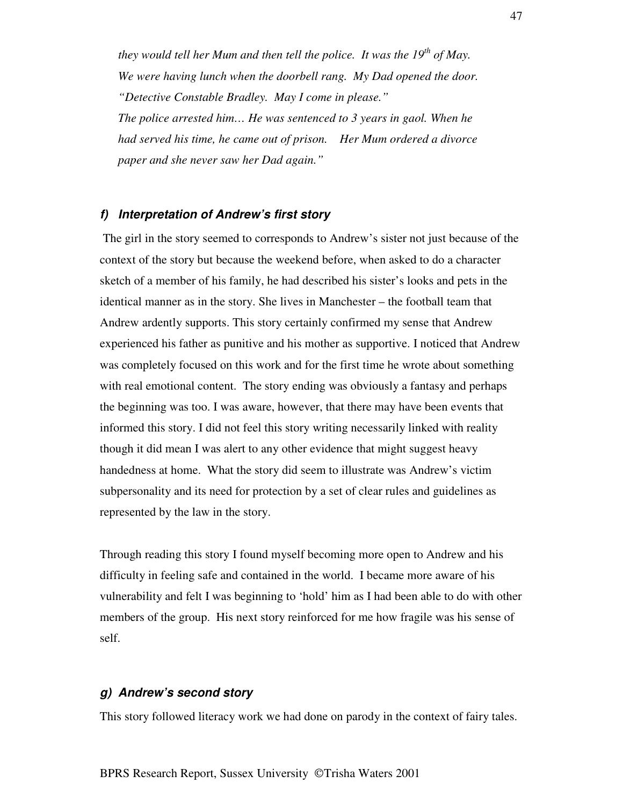*they would tell her Mum and then tell the police. It was the 19 th of May. We were having lunch when the doorbell rang. My Dad opened the door. "Detective Constable Bradley. May I come in please." The police arrested him… He was sentenced to 3 years in gaol. When he had served his time, he came out of prison. Her Mum ordered a divorce paper and she never saw her Dad again."*

## *f) Interpretation of Andrew's first story*

The girl in the story seemed to corresponds to Andrew's sister not just because of the context of the story but because the weekend before, when asked to do a character sketch of a member of his family, he had described his sister's looks and pets in the identical manner as in the story. She lives in Manchester – the football team that Andrew ardently supports. This story certainly confirmed my sense that Andrew experienced his father as punitive and his mother as supportive. I noticed that Andrew was completely focused on this work and for the first time he wrote about something with real emotional content. The story ending was obviously a fantasy and perhaps the beginning was too. I was aware, however, that there may have been events that informed this story. I did not feel this story writing necessarily linked with reality though it did mean I was alert to any other evidence that might suggest heavy handedness at home. What the story did seem to illustrate was Andrew's victim subpersonality and its need for protection by a set of clear rules and guidelines as represented by the law in the story.

Through reading this story I found myself becoming more open to Andrew and his difficulty in feeling safe and contained in the world. I became more aware of his vulnerability and felt I was beginning to 'hold' him as I had been able to do with other members of the group. His next story reinforced for me how fragile was his sense of self.

### *g) Andrew's second story*

This story followed literacy work we had done on parody in the context of fairy tales.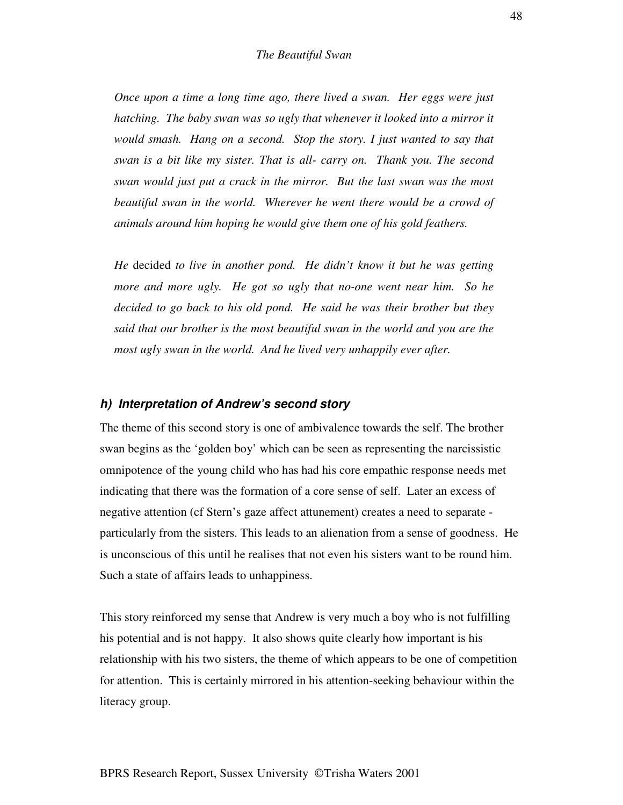*Once upon a time a long time ago, there lived a swan. Her eggs were just hatching. The baby swan was so ugly that whenever it looked into a mirror it would smash. Hang on a second. Stop the story. I just wanted to say that swan is a bit like my sister. That is all- carry on. Thank you. The second swan would just put a crack in the mirror. But the last swan was the most beautiful swan in the world. Wherever he went there would be a crowd of animals around him hoping he would give them one of his gold feathers.*

*He* decided *to live in another pond. He didn't know it but he was getting more and more ugly. He got so ugly that no-one went near him. So he decided to go back to his old pond. He said he was their brother but they said that our brother is the most beautiful swan in the world and you are the most ugly swan in the world. And he lived very unhappily ever after.*

#### *h) Interpretation of Andrew's second story*

The theme of this second story is one of ambivalence towards the self. The brother swan begins as the 'golden boy' which can be seen as representing the narcissistic omnipotence of the young child who has had his core empathic response needs met indicating that there was the formation of a core sense of self. Later an excess of negative attention (cf Stern's gaze affect attunement) creates a need to separate particularly from the sisters. This leads to an alienation from a sense of goodness. He is unconscious of this until he realises that not even his sisters want to be round him. Such a state of affairs leads to unhappiness.

This story reinforced my sense that Andrew is very much a boy who is not fulfilling his potential and is not happy. It also shows quite clearly how important is his relationship with his two sisters, the theme of which appears to be one of competition for attention. This is certainly mirrored in his attention-seeking behaviour within the literacy group.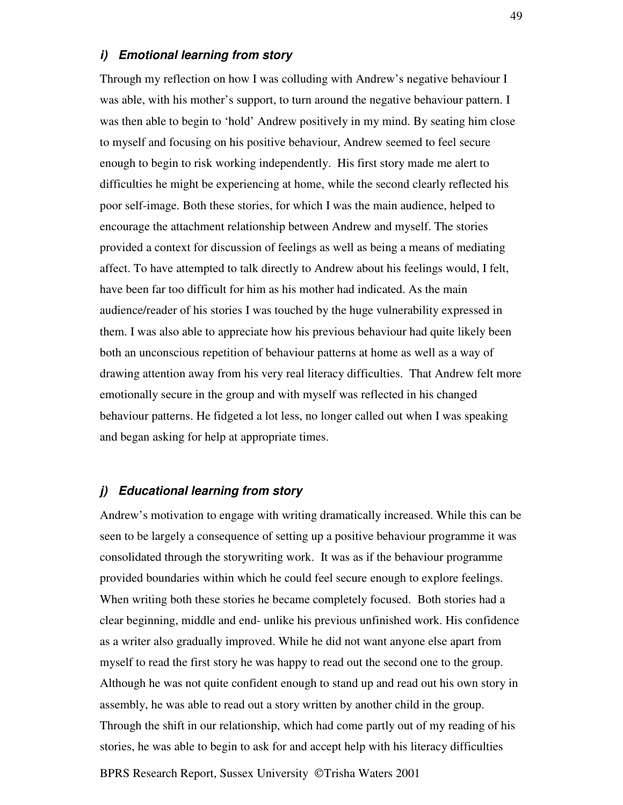#### *i) Emotional learning from story*

Through my reflection on how I was colluding with Andrew's negative behaviour I was able, with his mother's support, to turn around the negative behaviour pattern. I was then able to begin to 'hold' Andrew positively in my mind. By seating him close to myself and focusing on his positive behaviour, Andrew seemed to feel secure enough to begin to risk working independently. His first story made me alert to difficulties he might be experiencing at home, while the second clearly reflected his poor self-image. Both these stories, for which I was the main audience, helped to encourage the attachment relationship between Andrew and myself. The stories provided a context for discussion of feelings as well as being a means of mediating affect. To have attempted to talk directly to Andrew about his feelings would, I felt, have been far too difficult for him as his mother had indicated. As the main audience/reader of his stories I was touched by the huge vulnerability expressed in them. I was also able to appreciate how his previous behaviour had quite likely been both an unconscious repetition of behaviour patterns at home as well as a way of drawing attention away from his very real literacy difficulties. That Andrew felt more emotionally secure in the group and with myself was reflected in his changed behaviour patterns. He fidgeted a lot less, no longer called out when I was speaking and began asking for help at appropriate times.

## *j) Educational learning from story*

Andrew's motivation to engage with writing dramatically increased. While this can be seen to be largely a consequence of setting up a positive behaviour programme it was consolidated through the storywriting work. It was as if the behaviour programme provided boundaries within which he could feel secure enough to explore feelings. When writing both these stories he became completely focused. Both stories had a clear beginning, middle and end- unlike his previous unfinished work. His confidence as a writer also gradually improved. While he did not want anyone else apart from myself to read the first story he was happy to read out the second one to the group. Although he was not quite confident enough to stand up and read out his own story in assembly, he was able to read out a story written by another child in the group. Through the shift in our relationship, which had come partly out of my reading of his stories, he was able to begin to ask for and accept help with his literacy difficulties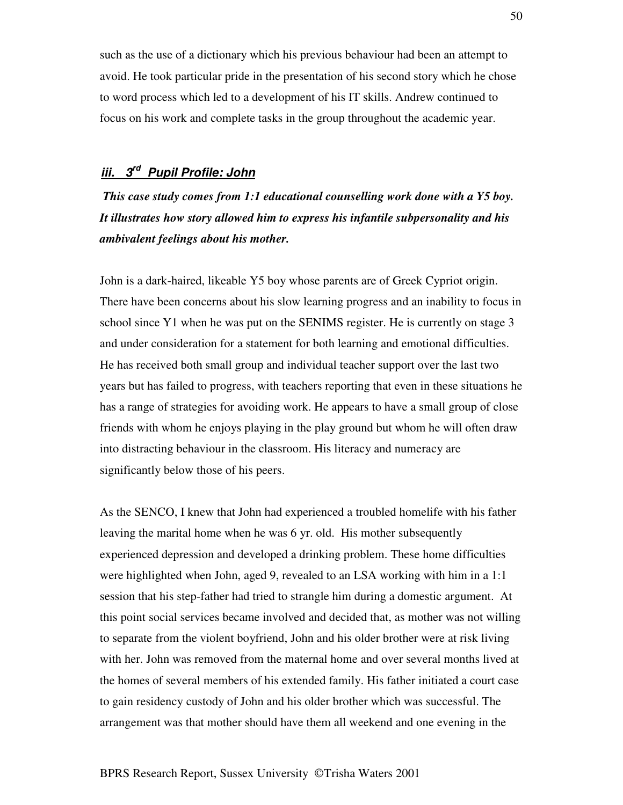such as the use of a dictionary which his previous behaviour had been an attempt to avoid. He took particular pride in the presentation of his second story which he chose to word process which led to a development of his IT skills. Andrew continued to focus on his work and complete tasks in the group throughout the academic year.

# *iii. 3 rd Pupil Profile: John*

*This case study comes from 1:1 educational counselling work done with a Y5 boy. It illustrates how story allowed him to express his infantile subpersonality and his ambivalent feelings about his mother.*

John is a dark-haired, likeable Y5 boy whose parents are of Greek Cypriot origin. There have been concerns about his slow learning progress and an inability to focus in school since Y1 when he was put on the SENIMS register. He is currently on stage 3 and under consideration for a statement for both learning and emotional difficulties. He has received both small group and individual teacher support over the last two years but has failed to progress, with teachers reporting that even in these situations he has a range of strategies for avoiding work. He appears to have a small group of close friends with whom he enjoys playing in the play ground but whom he will often draw into distracting behaviour in the classroom. His literacy and numeracy are significantly below those of his peers.

As the SENCO, I knew that John had experienced a troubled homelife with his father leaving the marital home when he was 6 yr. old. His mother subsequently experienced depression and developed a drinking problem. These home difficulties were highlighted when John, aged 9, revealed to an LSA working with him in a 1:1 session that his step-father had tried to strangle him during a domestic argument. At this point social services became involved and decided that, as mother was not willing to separate from the violent boyfriend, John and his older brother were at risk living with her. John was removed from the maternal home and over several months lived at the homes of several members of his extended family. His father initiated a court case to gain residency custody of John and his older brother which was successful. The arrangement was that mother should have them all weekend and one evening in the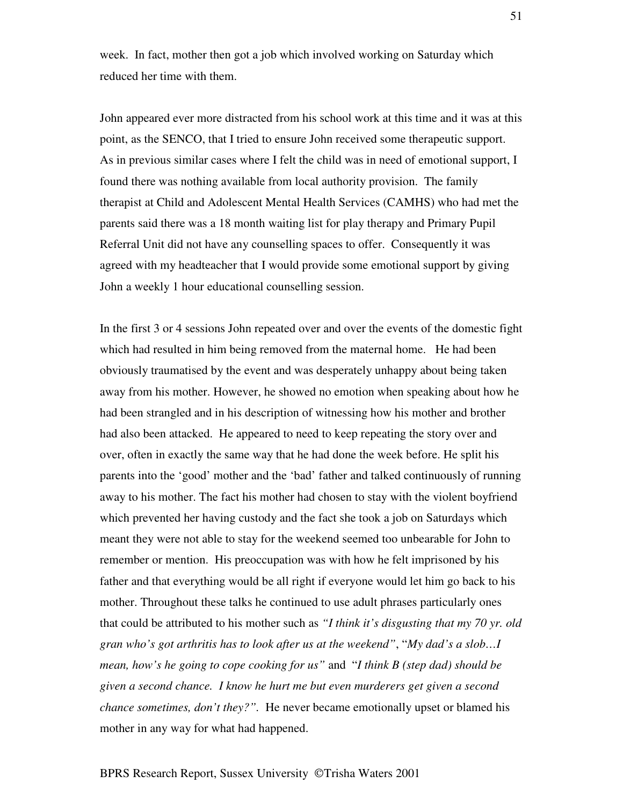week. In fact, mother then got a job which involved working on Saturday which reduced her time with them.

John appeared ever more distracted from his school work at this time and it was at this point, as the SENCO, that I tried to ensure John received some therapeutic support. As in previous similar cases where I felt the child was in need of emotional support, I found there was nothing available from local authority provision. The family therapist at Child and Adolescent Mental Health Services (CAMHS) who had met the parents said there was a 18 month waiting list for play therapy and Primary Pupil Referral Unit did not have any counselling spaces to offer. Consequently it was agreed with my headteacher that I would provide some emotional support by giving John a weekly 1 hour educational counselling session.

In the first 3 or 4 sessions John repeated over and over the events of the domestic fight which had resulted in him being removed from the maternal home. He had been obviously traumatised by the event and was desperately unhappy about being taken away from his mother. However, he showed no emotion when speaking about how he had been strangled and in his description of witnessing how his mother and brother had also been attacked. He appeared to need to keep repeating the story over and over, often in exactly the same way that he had done the week before. He split his parents into the 'good' mother and the 'bad' father and talked continuously of running away to his mother. The fact his mother had chosen to stay with the violent boyfriend which prevented her having custody and the fact she took a job on Saturdays which meant they were not able to stay for the weekend seemed too unbearable for John to remember or mention. His preoccupation was with how he felt imprisoned by his father and that everything would be all right if everyone would let him go back to his mother. Throughout these talks he continued to use adult phrases particularly ones that could be attributed to his mother such as *"I think it's disgusting that my 70 yr. old gran who's got arthritis has to look after us at the weekend"*, "*My dad's a slob…I mean, how's he going to cope cooking for us"* and "*I think B (step dad) should be given a second chance. I know he hurt me but even murderers get given a second chance sometimes, don't they?".* He never became emotionally upset or blamed his mother in any way for what had happened.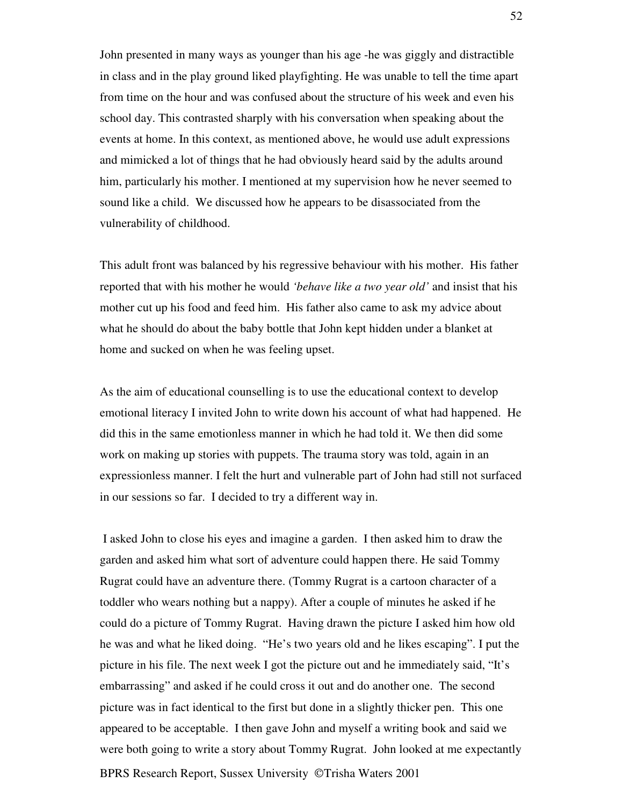John presented in many ways as younger than his age -he was giggly and distractible in class and in the play ground liked playfighting. He was unable to tell the time apart from time on the hour and was confused about the structure of his week and even his school day. This contrasted sharply with his conversation when speaking about the events at home. In this context, as mentioned above, he would use adult expressions and mimicked a lot of things that he had obviously heard said by the adults around him, particularly his mother. I mentioned at my supervision how he never seemed to sound like a child. We discussed how he appears to be disassociated from the vulnerability of childhood.

This adult front was balanced by his regressive behaviour with his mother. His father reported that with his mother he would *'behave like a two year old'* and insist that his mother cut up his food and feed him. His father also came to ask my advice about what he should do about the baby bottle that John kept hidden under a blanket at home and sucked on when he was feeling upset.

As the aim of educational counselling is to use the educational context to develop emotional literacy I invited John to write down his account of what had happened. He did this in the same emotionless manner in which he had told it. We then did some work on making up stories with puppets. The trauma story was told, again in an expressionless manner. I felt the hurt and vulnerable part of John had still not surfaced in our sessions so far. I decided to try a different way in.

BPRS Research Report, Sussex University © Trisha Waters 2001 I asked John to close his eyes and imagine a garden. I then asked him to draw the garden and asked him what sort of adventure could happen there. He said Tommy Rugrat could have an adventure there. (Tommy Rugrat is a cartoon character of a toddler who wears nothing but a nappy). After a couple of minutes he asked if he could do a picture of Tommy Rugrat. Having drawn the picture I asked him how old he was and what he liked doing. "He's two years old and he likes escaping". I put the picture in his file. The next week I got the picture out and he immediately said, "It's embarrassing" and asked if he could cross it out and do another one. The second picture was in fact identical to the first but done in a slightly thicker pen. This one appeared to be acceptable. I then gave John and myself a writing book and said we were both going to write a story about Tommy Rugrat. John looked at me expectantly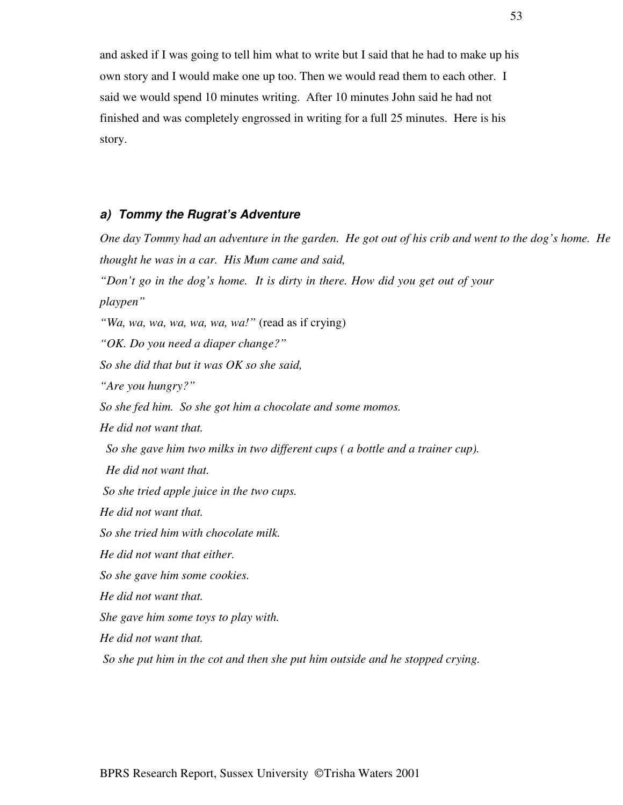and asked if I was going to tell him what to write but I said that he had to make up his own story and I would make one up too. Then we would read them to each other. I said we would spend 10 minutes writing. After 10 minutes John said he had not finished and was completely engrossed in writing for a full 25 minutes. Here is his story.

#### *a) Tommy the Rugrat's Adventure*

One day Tommy had an adventure in the garden. He got out of his crib and went to the dog's home. He *thought he was in a car. His Mum came and said, "Don't go in the dog's home. It is dirty in there. How did you get out of your playpen" "Wa, wa, wa, wa, wa, wa, wa!"* (read as if crying) *"OK. Do you need a diaper change?" So she did that but it was OK so she said, "Are you hungry?" So she fed him. So she got him a chocolate and some momos. He did not want that. So she gave him two milks in two different cups ( a bottle and a trainer cup). He did not want that. So she tried apple juice in the two cups. He did not want that. So she tried him with chocolate milk. He did not want that either. So she gave him some cookies. He did not want that. She gave him some toys to play with. He did not want that. So she put him in the cot and then she put him outside and he stopped crying.*

53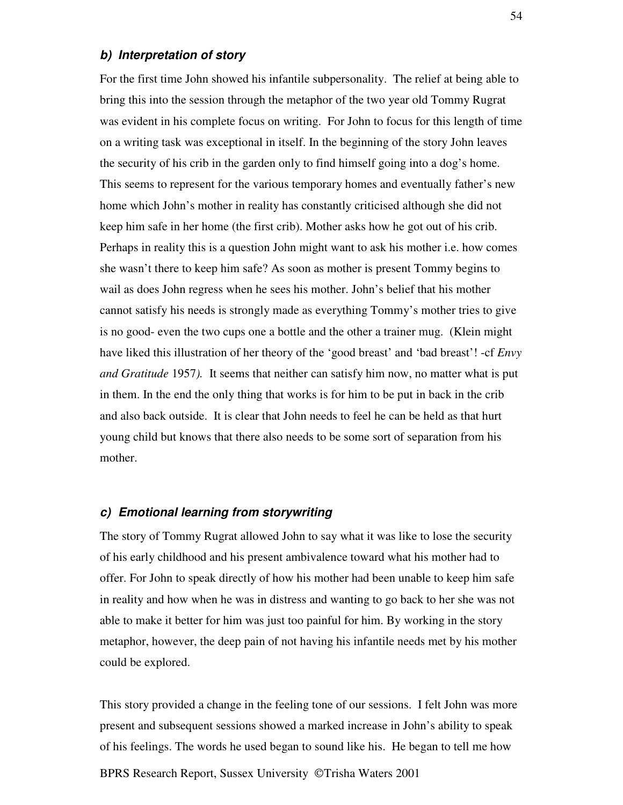### *b) Interpretation of story*

For the first time John showed his infantile subpersonality. The relief at being able to bring this into the session through the metaphor of the two year old Tommy Rugrat was evident in his complete focus on writing. For John to focus for this length of time on a writing task was exceptional in itself. In the beginning of the story John leaves the security of his crib in the garden only to find himself going into a dog's home. This seems to represent for the various temporary homes and eventually father's new home which John's mother in reality has constantly criticised although she did not keep him safe in her home (the first crib). Mother asks how he got out of his crib. Perhaps in reality this is a question John might want to ask his mother i.e. how comes she wasn't there to keep him safe? As soon as mother is present Tommy begins to wail as does John regress when he sees his mother. John's belief that his mother cannot satisfy his needs is strongly made as everything Tommy's mother tries to give is no good- even the two cups one a bottle and the other a trainer mug. (Klein might have liked this illustration of her theory of the 'good breast' and 'bad breast'! -cf *Envy and Gratitude* 1957*).* It seems that neither can satisfy him now, no matter what is put in them. In the end the only thing that works is for him to be put in back in the crib and also back outside. It is clear that John needs to feel he can be held as that hurt young child but knows that there also needs to be some sort of separation from his mother.

#### *c) Emotional learning from storywriting*

The story of Tommy Rugrat allowed John to say what it was like to lose the security of his early childhood and his present ambivalence toward what his mother had to offer. For John to speak directly of how his mother had been unable to keep him safe in reality and how when he was in distress and wanting to go back to her she was not able to make it better for him was just too painful for him. By working in the story metaphor, however, the deep pain of not having his infantile needs met by his mother could be explored.

This story provided a change in the feeling tone of our sessions. I felt John was more present and subsequent sessions showed a marked increase in John's ability to speak of his feelings. The words he used began to sound like his. He began to tell me how

BPRS Research Report, Sussex University ©Trisha Waters 2001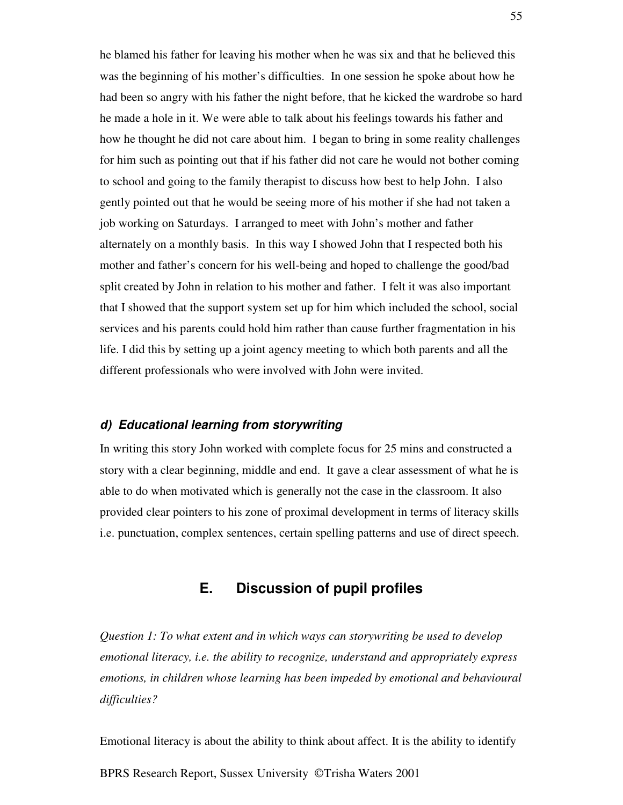he blamed his father for leaving his mother when he was six and that he believed this was the beginning of his mother's difficulties. In one session he spoke about how he had been so angry with his father the night before, that he kicked the wardrobe so hard he made a hole in it. We were able to talk about his feelings towards his father and how he thought he did not care about him. I began to bring in some reality challenges for him such as pointing out that if his father did not care he would not bother coming to school and going to the family therapist to discuss how best to help John. I also gently pointed out that he would be seeing more of his mother if she had not taken a job working on Saturdays. I arranged to meet with John's mother and father alternately on a monthly basis. In this way I showed John that I respected both his mother and father's concern for his well-being and hoped to challenge the good/bad split created by John in relation to his mother and father. I felt it was also important that I showed that the support system set up for him which included the school, social services and his parents could hold him rather than cause further fragmentation in his life. I did this by setting up a joint agency meeting to which both parents and all the different professionals who were involved with John were invited.

# *d) Educational learning from storywriting*

In writing this story John worked with complete focus for 25 mins and constructed a story with a clear beginning, middle and end. It gave a clear assessment of what he is able to do when motivated which is generally not the case in the classroom. It also provided clear pointers to his zone of proximal development in terms of literacy skills i.e. punctuation, complex sentences, certain spelling patterns and use of direct speech.

# **E. Discussion of pupil profiles**

*Question 1: To what extent and in which ways can storywriting be used to develop emotional literacy, i.e. the ability to recognize, understand and appropriately express emotions, in children whose learning has been impeded by emotional and behavioural difficulties?*

BPRS Research Report, Sussex University ©Trisha Waters 2001 Emotional literacy is about the ability to think about affect. It is the ability to identify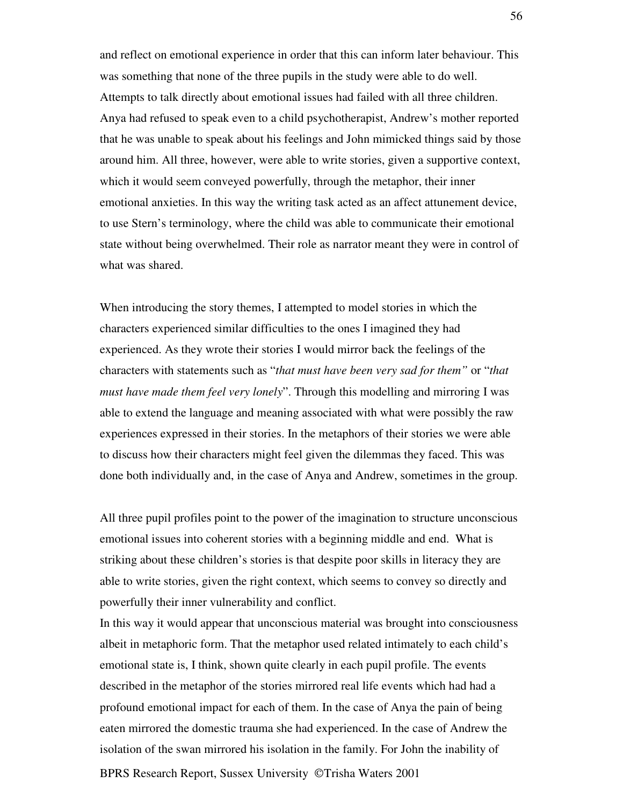and reflect on emotional experience in order that this can inform later behaviour. This was something that none of the three pupils in the study were able to do well. Attempts to talk directly about emotional issues had failed with all three children. Anya had refused to speak even to a child psychotherapist, Andrew's mother reported that he was unable to speak about his feelings and John mimicked things said by those around him. All three, however, were able to write stories, given a supportive context, which it would seem conveyed powerfully, through the metaphor, their inner emotional anxieties. In this way the writing task acted as an affect attunement device, to use Stern's terminology, where the child was able to communicate their emotional state without being overwhelmed. Their role as narrator meant they were in control of what was shared.

When introducing the story themes, I attempted to model stories in which the characters experienced similar difficulties to the ones I imagined they had experienced. As they wrote their stories I would mirror back the feelings of the characters with statements such as "*that must have been very sad for them"* or "*that must have made them feel very lonely*". Through this modelling and mirroring I was able to extend the language and meaning associated with what were possibly the raw experiences expressed in their stories. In the metaphors of their stories we were able to discuss how their characters might feel given the dilemmas they faced. This was done both individually and, in the case of Anya and Andrew, sometimes in the group.

All three pupil profiles point to the power of the imagination to structure unconscious emotional issues into coherent stories with a beginning middle and end. What is striking about these children's stories is that despite poor skills in literacy they are able to write stories, given the right context, which seems to convey so directly and powerfully their inner vulnerability and conflict.

In this way it would appear that unconscious material was brought into consciousness albeit in metaphoric form. That the metaphor used related intimately to each child's emotional state is, I think, shown quite clearly in each pupil profile. The events described in the metaphor of the stories mirrored real life events which had had a profound emotional impact for each of them. In the case of Anya the pain of being eaten mirrored the domestic trauma she had experienced. In the case of Andrew the isolation of the swan mirrored his isolation in the family. For John the inability of

BPRS Research Report, Sussex University © Trisha Waters 2001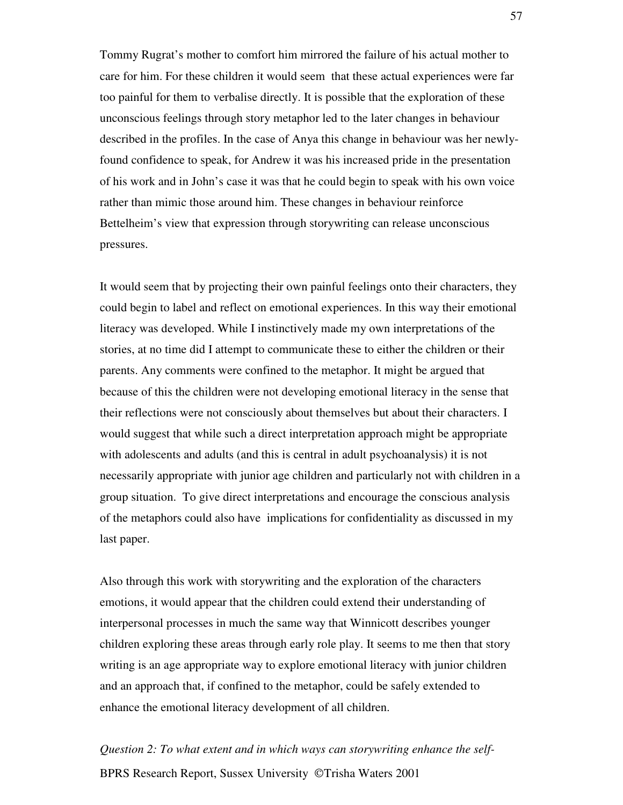Tommy Rugrat's mother to comfort him mirrored the failure of his actual mother to care for him. For these children it would seem that these actual experiences were far too painful for them to verbalise directly. It is possible that the exploration of these unconscious feelings through story metaphor led to the later changes in behaviour described in the profiles. In the case of Anya this change in behaviour was her newlyfound confidence to speak, for Andrew it was his increased pride in the presentation of his work and in John's case it was that he could begin to speak with his own voice rather than mimic those around him. These changes in behaviour reinforce Bettelheim's view that expression through storywriting can release unconscious pressures.

It would seem that by projecting their own painful feelings onto their characters, they could begin to label and reflect on emotional experiences. In this way their emotional literacy was developed. While I instinctively made my own interpretations of the stories, at no time did I attempt to communicate these to either the children or their parents. Any comments were confined to the metaphor. It might be argued that because of this the children were not developing emotional literacy in the sense that their reflections were not consciously about themselves but about their characters. I would suggest that while such a direct interpretation approach might be appropriate with adolescents and adults (and this is central in adult psychoanalysis) it is not necessarily appropriate with junior age children and particularly not with children in a group situation. To give direct interpretations and encourage the conscious analysis of the metaphors could also have implications for confidentiality as discussed in my last paper.

Also through this work with storywriting and the exploration of the characters emotions, it would appear that the children could extend their understanding of interpersonal processes in much the same way that Winnicott describes younger children exploring these areas through early role play. It seems to me then that story writing is an age appropriate way to explore emotional literacy with junior children and an approach that, if confined to the metaphor, could be safely extended to enhance the emotional literacy development of all children.

BPRS Research Report, Sussex University © Trisha Waters 2001 *Question 2: To what extent and in which ways can storywriting enhance the self-*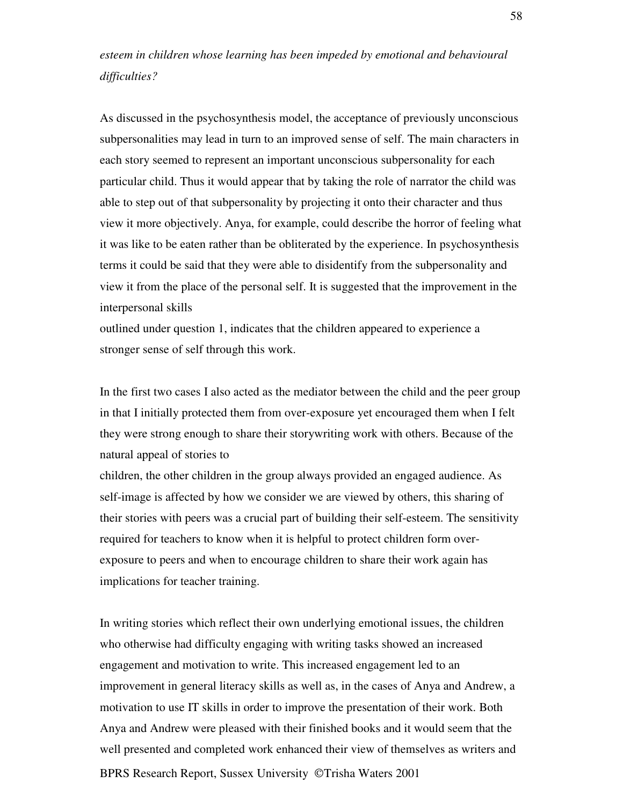# *esteem in children whose learning has been impeded by emotional and behavioural difficulties?*

As discussed in the psychosynthesis model, the acceptance of previously unconscious subpersonalities may lead in turn to an improved sense of self. The main characters in each story seemed to represent an important unconscious subpersonality for each particular child. Thus it would appear that by taking the role of narrator the child was able to step out of that subpersonality by projecting it onto their character and thus view it more objectively. Anya, for example, could describe the horror of feeling what it was like to be eaten rather than be obliterated by the experience. In psychosynthesis terms it could be said that they were able to disidentify from the subpersonality and view it from the place of the personal self. It is suggested that the improvement in the interpersonal skills

outlined under question 1, indicates that the children appeared to experience a stronger sense of self through this work.

In the first two cases I also acted as the mediator between the child and the peer group in that I initially protected them from over-exposure yet encouraged them when I felt they were strong enough to share their storywriting work with others. Because of the natural appeal of stories to

children, the other children in the group always provided an engaged audience. As self-image is affected by how we consider we are viewed by others, this sharing of their stories with peers was a crucial part of building their self-esteem. The sensitivity required for teachers to know when it is helpful to protect children form overexposure to peers and when to encourage children to share their work again has implications for teacher training.

BPRS Research Report, Sussex University © Trisha Waters 2001 In writing stories which reflect their own underlying emotional issues, the children who otherwise had difficulty engaging with writing tasks showed an increased engagement and motivation to write. This increased engagement led to an improvement in general literacy skills as well as, in the cases of Anya and Andrew, a motivation to use IT skills in order to improve the presentation of their work. Both Anya and Andrew were pleased with their finished books and it would seem that the well presented and completed work enhanced their view of themselves as writers and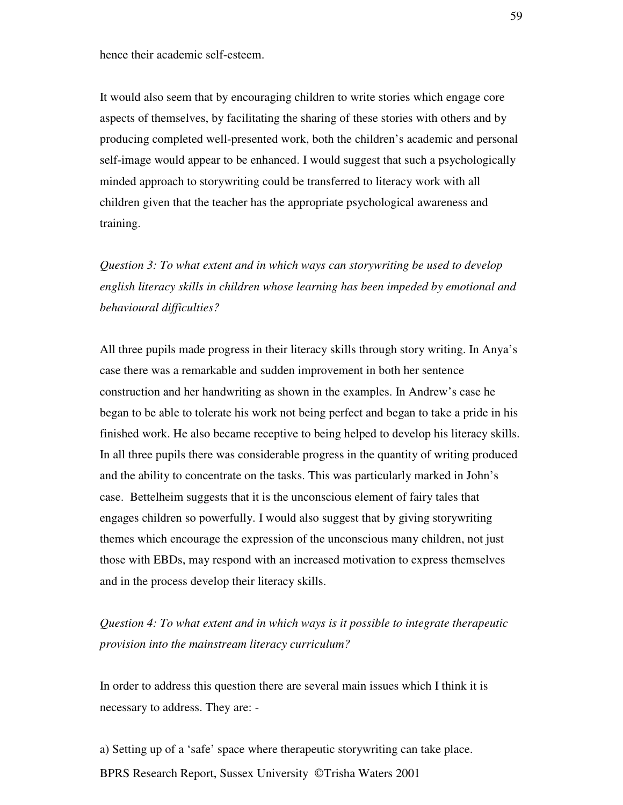hence their academic self-esteem.

It would also seem that by encouraging children to write stories which engage core aspects of themselves, by facilitating the sharing of these stories with others and by producing completed well-presented work, both the children's academic and personal self-image would appear to be enhanced. I would suggest that such a psychologically minded approach to storywriting could be transferred to literacy work with all children given that the teacher has the appropriate psychological awareness and training.

*Question 3: To what extent and in which ways can storywriting be used to develop english literacy skills in children whose learning has been impeded by emotional and behavioural difficulties?*

All three pupils made progress in their literacy skills through story writing. In Anya's case there was a remarkable and sudden improvement in both her sentence construction and her handwriting as shown in the examples. In Andrew's case he began to be able to tolerate his work not being perfect and began to take a pride in his finished work. He also became receptive to being helped to develop his literacy skills. In all three pupils there was considerable progress in the quantity of writing produced and the ability to concentrate on the tasks. This was particularly marked in John's case. Bettelheim suggests that it is the unconscious element of fairy tales that engages children so powerfully. I would also suggest that by giving storywriting themes which encourage the expression of the unconscious many children, not just those with EBDs, may respond with an increased motivation to express themselves and in the process develop their literacy skills.

*Question 4: To what extent and in which ways is it possible to integrate therapeutic provision into the mainstream literacy curriculum?*

In order to address this question there are several main issues which I think it is necessary to address. They are: -

BPRS Research Report, Sussex University ©Trisha Waters 2001 a) Setting up of a 'safe' space where therapeutic storywriting can take place.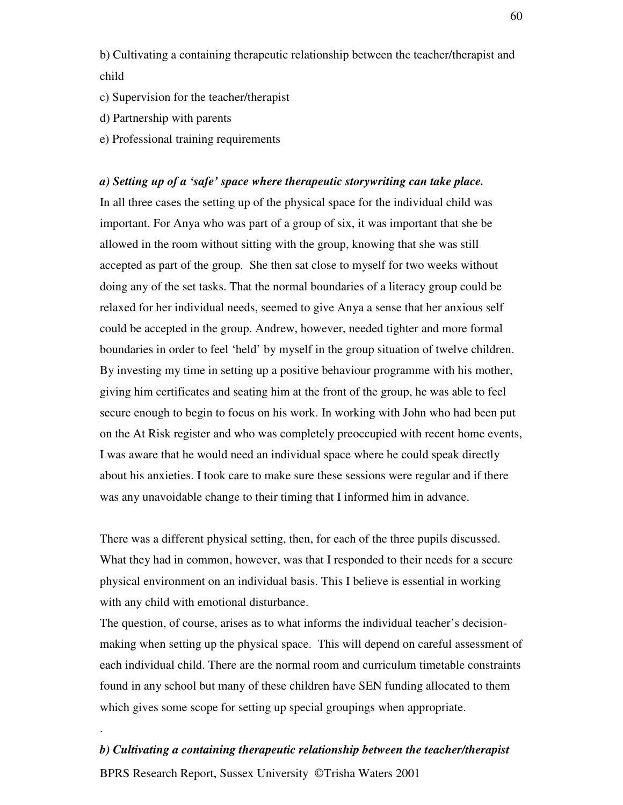b) Cultivating a containing therapeutic relationship between the teacher/therapist and child

- c) Supervision for the teacher/therapist
- d) Partnership with parents
- e) Professional training requirements

#### *a) Setting up of a 'safe' space where therapeutic storywriting can take place.*

In all three cases the setting up of the physical space for the individual child was important. For Anya who was part of a group of six, it was important that she be allowed in the room without sitting with the group, knowing that she was still accepted as part of the group. She then sat close to myself for two weeks without doing any of the set tasks. That the normal boundaries of a literacy group could be relaxed for her individual needs, seemed to give Anya a sense that her anxious self could be accepted in the group. Andrew, however, needed tighter and more formal boundaries in order to feel 'held' by myself in the group situation of twelve children. By investing my time in setting up a positive behaviour programme with his mother, giving him certificates and seating him at the front of the group, he was able to feel secure enough to begin to focus on his work. In working with John who had been put on the At Risk register and who was completely preoccupied with recent home events, I was aware that he would need an individual space where he could speak directly about his anxieties. I took care to make sure these sessions were regular and if there was any unavoidable change to their timing that I informed him in advance.

There was a different physical setting, then, for each of the three pupils discussed. What they had in common, however, was that I responded to their needs for a secure physical environment on an individual basis. This I believe is essential in working with any child with emotional disturbance.

The question, of course, arises as to what informs the individual teacher's decisionmaking when setting up the physical space. This will depend on careful assessment of each individual child. There are the normal room and curriculum timetable constraints found in any school but many of these children have SEN funding allocated to them which gives some scope for setting up special groupings when appropriate.

#### *b) Cultivating a containing therapeutic relationship between the teacher/therapist*

BPRS Research Report, Sussex University © Trisha Waters 2001

.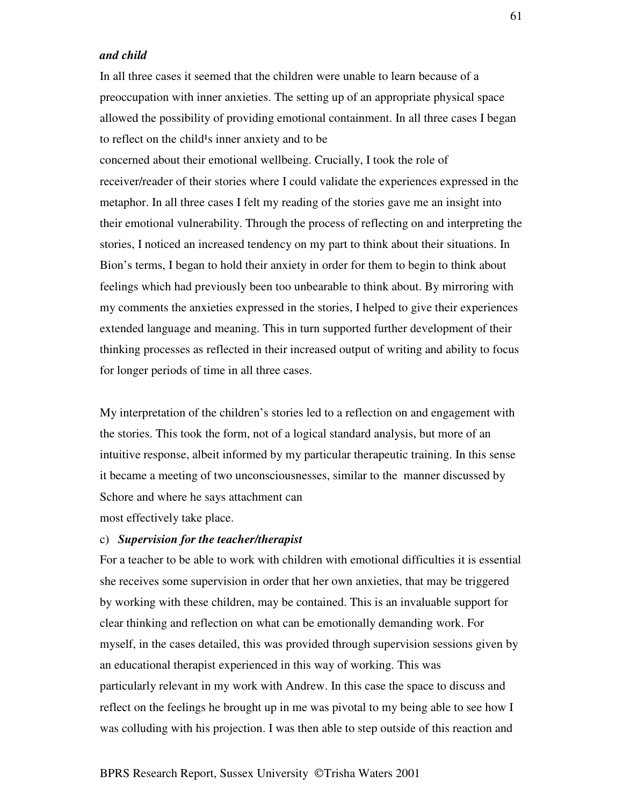## *and child*

In all three cases it seemed that the children were unable to learn because of a preoccupation with inner anxieties. The setting up of an appropriate physical space allowed the possibility of providing emotional containment. In all three cases I began to reflect on the child<sup>1</sup>s inner anxiety and to be

concerned about their emotional wellbeing. Crucially, I took the role of receiver/reader of their stories where I could validate the experiences expressed in the metaphor. In all three cases I felt my reading of the stories gave me an insight into their emotional vulnerability. Through the process of reflecting on and interpreting the stories, I noticed an increased tendency on my part to think about their situations. In Bion's terms, I began to hold their anxiety in order for them to begin to think about feelings which had previously been too unbearable to think about. By mirroring with my comments the anxieties expressed in the stories, I helped to give their experiences extended language and meaning. This in turn supported further development of their thinking processes as reflected in their increased output of writing and ability to focus for longer periods of time in all three cases.

My interpretation of the children's stories led to a reflection on and engagement with the stories. This took the form, not of a logical standard analysis, but more of an intuitive response, albeit informed by my particular therapeutic training. In this sense it became a meeting of two unconsciousnesses, similar to the manner discussed by Schore and where he says attachment can most effectively take place.

#### c) *Supervision for the teacher/therapist*

For a teacher to be able to work with children with emotional difficulties it is essential she receives some supervision in order that her own anxieties, that may be triggered by working with these children, may be contained. This is an invaluable support for clear thinking and reflection on what can be emotionally demanding work. For myself, in the cases detailed, this was provided through supervision sessions given by an educational therapist experienced in this way of working. This was particularly relevant in my work with Andrew. In this case the space to discuss and reflect on the feelings he brought up in me was pivotal to my being able to see how I was colluding with his projection. I was then able to step outside of this reaction and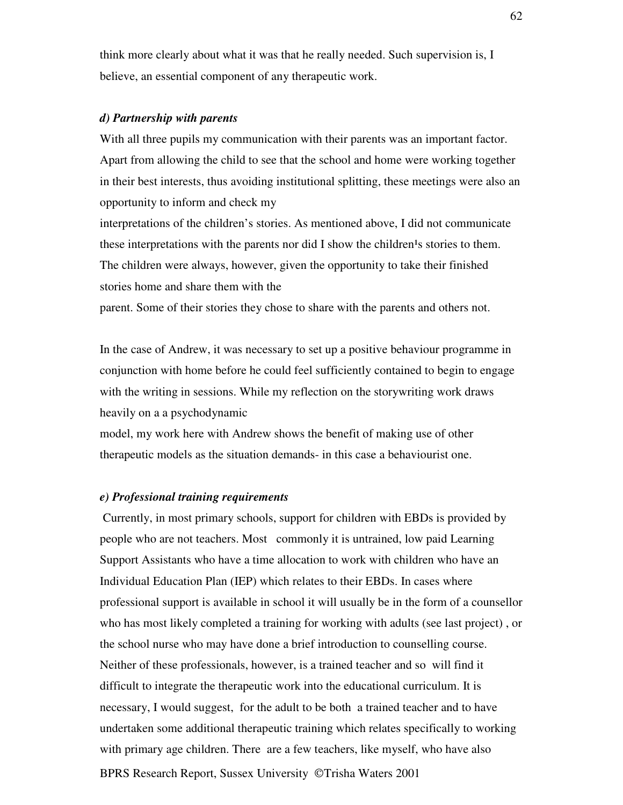think more clearly about what it was that he really needed. Such supervision is, I believe, an essential component of any therapeutic work.

#### *d) Partnership with parents*

With all three pupils my communication with their parents was an important factor. Apart from allowing the child to see that the school and home were working together in their best interests, thus avoiding institutional splitting, these meetings were also an opportunity to inform and check my

interpretations of the children's stories. As mentioned above, I did not communicate these interpretations with the parents nor did I show the children<sup>1</sup>s stories to them. The children were always, however, given the opportunity to take their finished stories home and share them with the

parent. Some of their stories they chose to share with the parents and others not.

In the case of Andrew, it was necessary to set up a positive behaviour programme in conjunction with home before he could feel sufficiently contained to begin to engage with the writing in sessions. While my reflection on the storywriting work draws heavily on a a psychodynamic

model, my work here with Andrew shows the benefit of making use of other therapeutic models as the situation demands- in this case a behaviourist one.

#### *e) Professional training requirements*

BPRS Research Report, Sussex University © Trisha Waters 2001 Currently, in most primary schools, support for children with EBDs is provided by people who are not teachers. Most commonly it is untrained, low paid Learning Support Assistants who have a time allocation to work with children who have an Individual Education Plan (IEP) which relates to their EBDs. In cases where professional support is available in school it will usually be in the form of a counsellor who has most likely completed a training for working with adults (see last project) , or the school nurse who may have done a brief introduction to counselling course. Neither of these professionals, however, is a trained teacher and so will find it difficult to integrate the therapeutic work into the educational curriculum. It is necessary, I would suggest, for the adult to be both a trained teacher and to have undertaken some additional therapeutic training which relates specifically to working with primary age children. There are a few teachers, like myself, who have also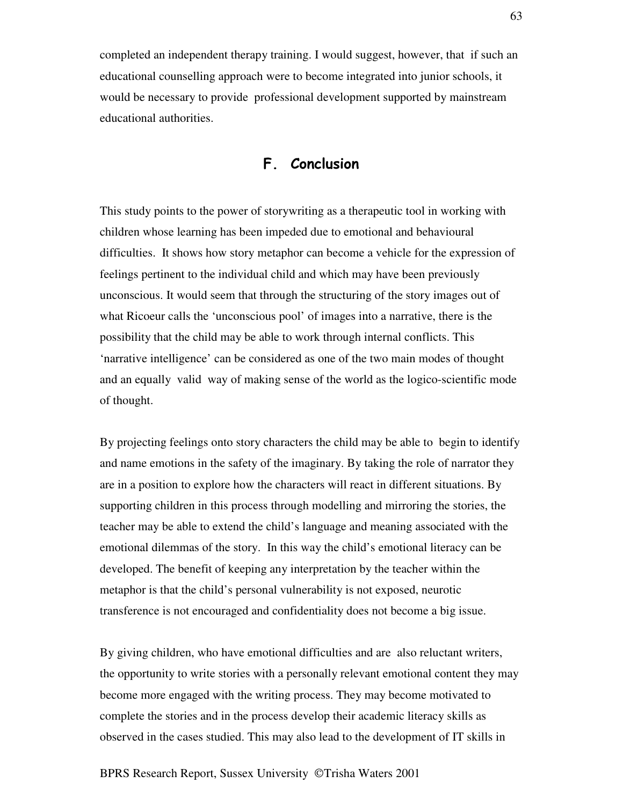completed an independent therapy training. I would suggest, however, that if such an educational counselling approach were to become integrated into junior schools, it would be necessary to provide professional development supported by mainstream educational authorities.

# F. Conclusion

This study points to the power of storywriting as a therapeutic tool in working with children whose learning has been impeded due to emotional and behavioural difficulties. It shows how story metaphor can become a vehicle for the expression of feelings pertinent to the individual child and which may have been previously unconscious. It would seem that through the structuring of the story images out of what Ricoeur calls the 'unconscious pool' of images into a narrative, there is the possibility that the child may be able to work through internal conflicts. This 'narrative intelligence' can be considered as one of the two main modes of thought and an equally valid way of making sense of the world as the logico-scientific mode of thought.

By projecting feelings onto story characters the child may be able to begin to identify and name emotions in the safety of the imaginary. By taking the role of narrator they are in a position to explore how the characters will react in different situations. By supporting children in this process through modelling and mirroring the stories, the teacher may be able to extend the child's language and meaning associated with the emotional dilemmas of the story. In this way the child's emotional literacy can be developed. The benefit of keeping any interpretation by the teacher within the metaphor is that the child's personal vulnerability is not exposed, neurotic transference is not encouraged and confidentiality does not become a big issue.

By giving children, who have emotional difficulties and are also reluctant writers, the opportunity to write stories with a personally relevant emotional content they may become more engaged with the writing process. They may become motivated to complete the stories and in the process develop their academic literacy skills as observed in the cases studied. This may also lead to the development of IT skills in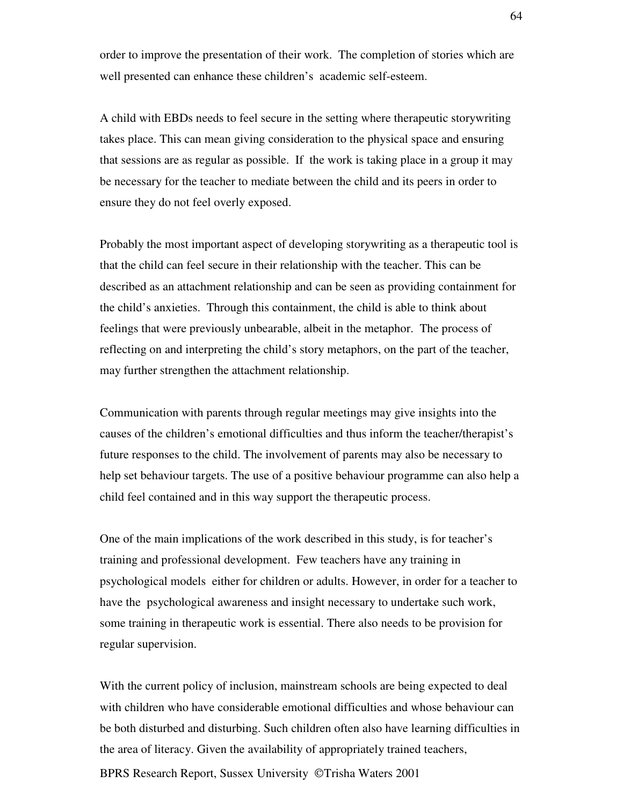order to improve the presentation of their work. The completion of stories which are well presented can enhance these children's academic self-esteem.

A child with EBDs needs to feel secure in the setting where therapeutic storywriting takes place. This can mean giving consideration to the physical space and ensuring that sessions are as regular as possible. If the work is taking place in a group it may be necessary for the teacher to mediate between the child and its peers in order to ensure they do not feel overly exposed.

Probably the most important aspect of developing storywriting as a therapeutic tool is that the child can feel secure in their relationship with the teacher. This can be described as an attachment relationship and can be seen as providing containment for the child's anxieties. Through this containment, the child is able to think about feelings that were previously unbearable, albeit in the metaphor. The process of reflecting on and interpreting the child's story metaphors, on the part of the teacher, may further strengthen the attachment relationship.

Communication with parents through regular meetings may give insights into the causes of the children's emotional difficulties and thus inform the teacher/therapist's future responses to the child. The involvement of parents may also be necessary to help set behaviour targets. The use of a positive behaviour programme can also help a child feel contained and in this way support the therapeutic process.

One of the main implications of the work described in this study, is for teacher's training and professional development. Few teachers have any training in psychological models either for children or adults. However, in order for a teacher to have the psychological awareness and insight necessary to undertake such work, some training in therapeutic work is essential. There also needs to be provision for regular supervision.

With the current policy of inclusion, mainstream schools are being expected to deal with children who have considerable emotional difficulties and whose behaviour can be both disturbed and disturbing. Such children often also have learning difficulties in the area of literacy. Given the availability of appropriately trained teachers,

BPRS Research Report, Sussex University © Trisha Waters 2001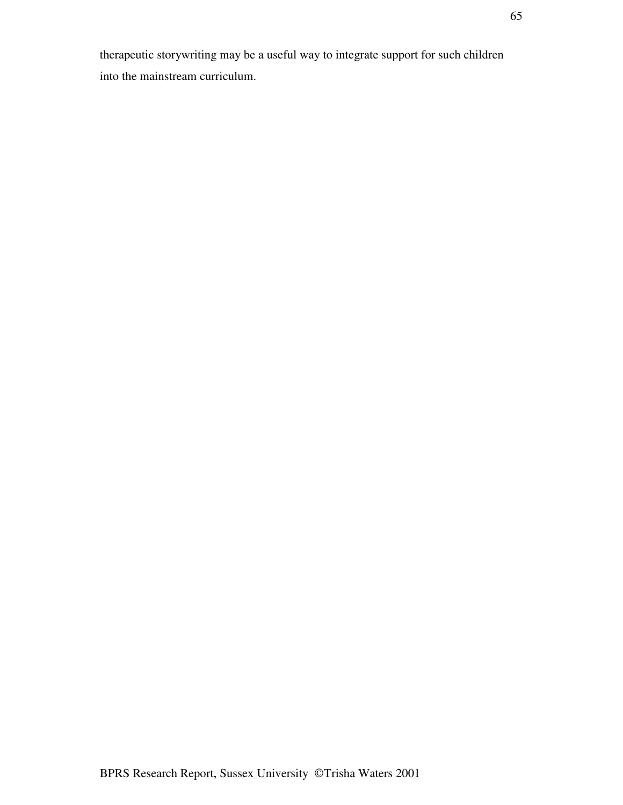therapeutic storywriting may be a useful way to integrate support for such children into the mainstream curriculum.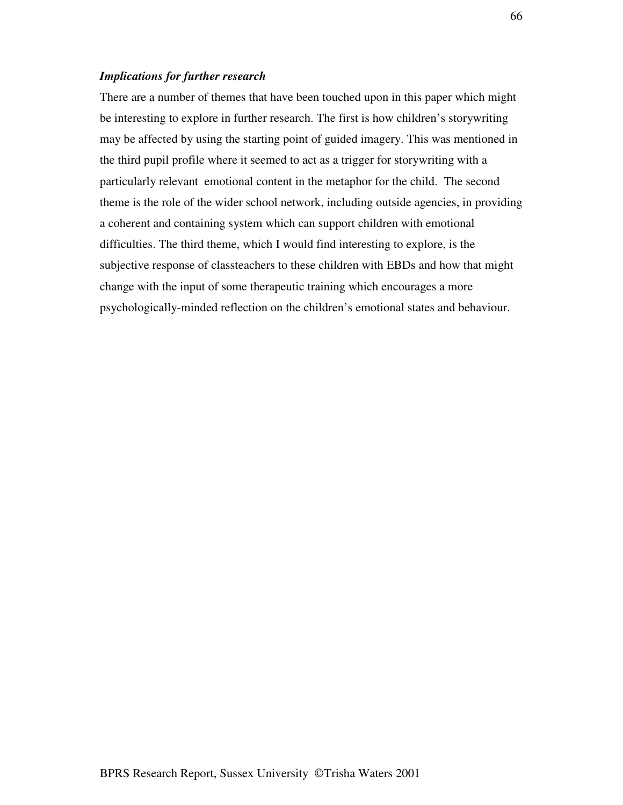### *Implications for further research*

There are a number of themes that have been touched upon in this paper which might be interesting to explore in further research. The first is how children's storywriting may be affected by using the starting point of guided imagery. This was mentioned in the third pupil profile where it seemed to act as a trigger for storywriting with a particularly relevant emotional content in the metaphor for the child. The second theme is the role of the wider school network, including outside agencies, in providing a coherent and containing system which can support children with emotional difficulties. The third theme, which I would find interesting to explore, is the subjective response of classteachers to these children with EBDs and how that might change with the input of some therapeutic training which encourages a more psychologically-minded reflection on the children's emotional states and behaviour.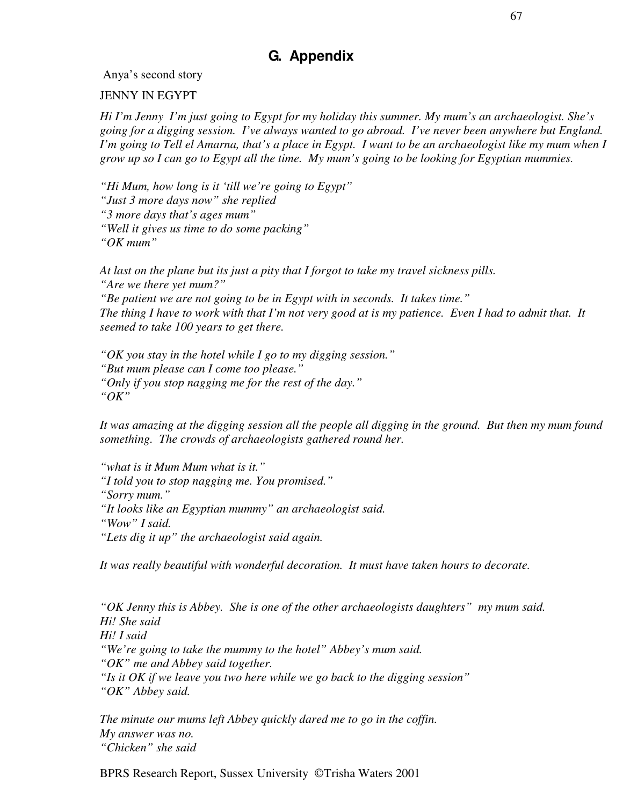# **G. Appendix**

Anya's second story

JENNY IN EGYPT

*Hi I'm Jenny I'm just going to Egypt for my holiday this summer. My mum's an archaeologist. She's going for a digging session. I've always wanted to go abroad. I've never been anywhere but England.* I'm going to Tell el Amarna, that's a place in Egypt. I want to be an archaeologist like my mum when I grow up so I can go to Egypt all the time. My mum's going to be looking for Egyptian mummies.

*"Hi Mum, how long is it 'till we're going to Egypt" "Just 3 more days now" she replied "3 more days that's ages mum" "Well it gives us time to do some packing" "OK mum"*

*At last on the plane but its just a pity that I forgot to take my travel sickness pills. "Are we there yet mum?" "Be patient we are not going to be in Egypt with in seconds. It takes time."* The thing I have to work with that I'm not very good at is my patience. Even I had to admit that. It *seemed to take 100 years to get there.*

*"OK you stay in the hotel while I go to my digging session." "But mum please can I come too please." "Only if you stop nagging me for the rest of the day." "OK"*

It was amazing at the digging session all the people all digging in the ground. But then my mum found *something. The crowds of archaeologists gathered round her.*

*"what is it Mum Mum what is it." "I told you to stop nagging me. You promised." "Sorry mum." "It looks like an Egyptian mummy" an archaeologist said. "Wow" I said. "Lets dig it up" the archaeologist said again.*

*It was really beautiful with wonderful decoration. It must have taken hours to decorate.*

*"OK Jenny this is Abbey. She is one of the other archaeologists daughters" my mum said. Hi! She said Hi! I said "We're going to take the mummy to the hotel" Abbey's mum said. "OK" me and Abbey said together. "Is it OK if we leave you two here while we go back to the digging session" "OK" Abbey said.*

*The minute our mums left Abbey quickly dared me to go in the coffin. My answer was no. "Chicken" she said*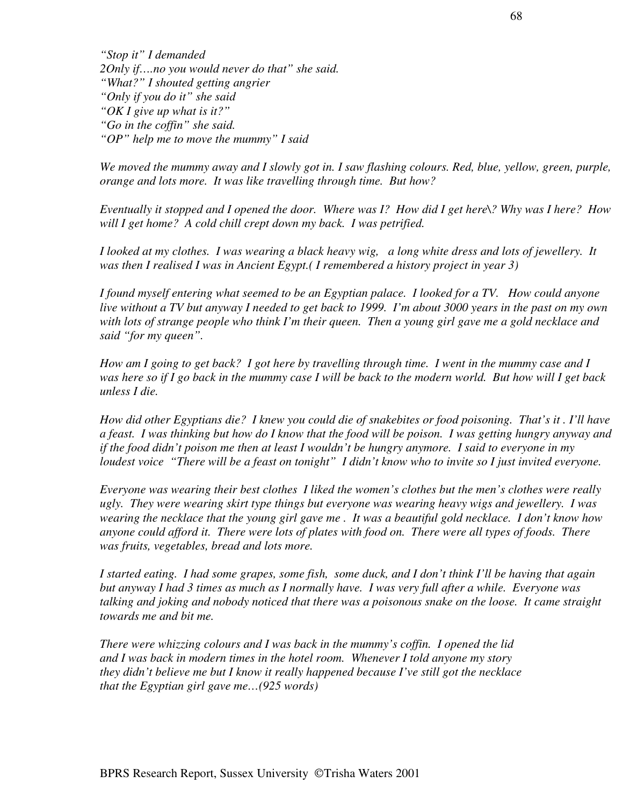*"Stop it" I demanded 2Only if….no you would never do that" she said. "What?" I shouted getting angrier "Only if you do it" she said "OK I give up what is it?" "Go in the coffin" she said. "OP" help me to move the mummy" I said*

We moved the mummy away and I slowly got in. I saw flashing colours. Red, blue, yellow, green, purple, *orange and lots more. It was like travelling through time. But how?*

Eventually it stopped and I opened the door. Where was I? How did I get here $\Diamond$ ? Why was I here? How *will I get home? A cold chill crept down my back. I was petrified.*

I looked at my clothes. I was wearing a black heavy wig, a long white dress and lots of jewellery. It *was then I realised I was in Ancient Egypt.( I remembered a history project in year 3)*

I found myself entering what seemed to be an Egyptian palace. I looked for a TV. How could anyone live without a TV but anyway I needed to get back to 1999. I'm about 3000 years in the past on my own with lots of strange people who think I'm their queen. Then a young girl gave me a gold necklace and *said "for my queen".*

How am I going to get back? I got here by travelling through time. I went in the mummy case and I was here so if I go back in the mummy case I will be back to the modern world. But how will I get back *unless I die.*

How did other Egyptians die? I knew you could die of snakebites or food poisoning. That's it. I'll have a feast. I was thinking but how do I know that the food will be poison. I was getting hungry anyway and if the food didn't poison me then at least I wouldn't be hungry anymore. I said to everyone in my loudest voice "There will be a feast on tonight" I didn't know who to invite so I just invited everyone.

*Everyone was wearing their best clothes I liked the women's clothes but the men's clothes were really ugly. They were wearing skirt type things but everyone was wearing heavy wigs and jewellery. I was* wearing the necklace that the young girl gave me. It was a beautiful gold necklace. I don't know how anyone could afford it. There were lots of plates with food on. There were all types of foods. There *was fruits, vegetables, bread and lots more.*

I started eating. I had some grapes, some fish, some duck, and I don't think I'll be having that again but anyway I had 3 times as much as I normally have. I was very full after a while. Everyone was talking and joking and nobody noticed that there was a poisonous snake on the loose. It came straight *towards me and bit me.*

*There were whizzing colours and I was back in the mummy's coffin. I opened the lid and I was back in modern times in the hotel room. Whenever I told anyone my story they didn't believe me but I know it really happened because I've still got the necklace that the Egyptian girl gave me…(925 words)*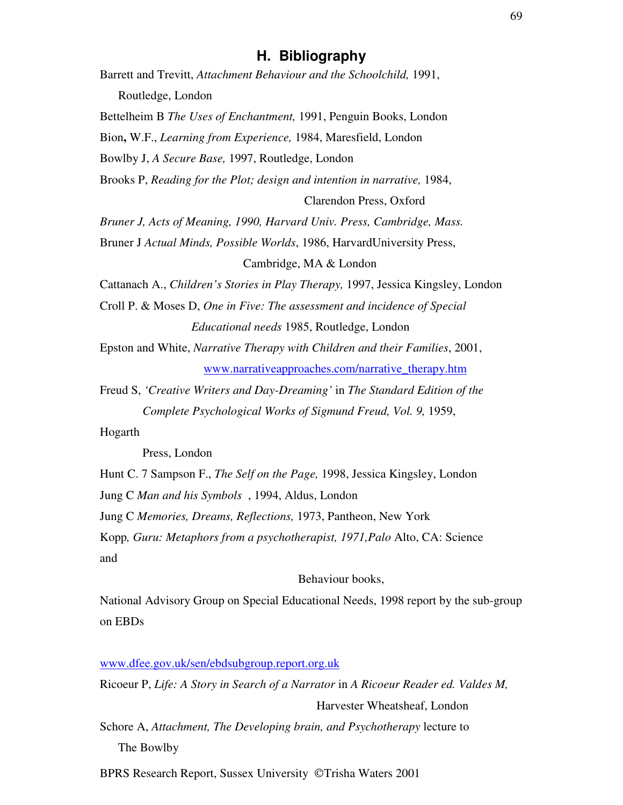# **H. Bibliography**

| Barrett and Trevitt, Attachment Behaviour and the Schoolchild, 1991,               |  |
|------------------------------------------------------------------------------------|--|
| Routledge, London                                                                  |  |
| Bettelheim B The Uses of Enchantment, 1991, Penguin Books, London                  |  |
| Bion, W.F., Learning from Experience, 1984, Maresfield, London                     |  |
| Bowlby J, A Secure Base, 1997, Routledge, London                                   |  |
| Brooks P, Reading for the Plot; design and intention in narrative, 1984,           |  |
| Clarendon Press, Oxford                                                            |  |
| Bruner J, Acts of Meaning, 1990, Harvard Univ. Press, Cambridge, Mass.             |  |
| Bruner J Actual Minds, Possible Worlds, 1986, HarvardUniversity Press,             |  |
| Cambridge, MA & London                                                             |  |
|                                                                                    |  |
| Cattanach A., Children's Stories in Play Therapy, 1997, Jessica Kingsley, London   |  |
| Croll P. & Moses D, One in Five: The assessment and incidence of Special           |  |
| Educational needs 1985, Routledge, London                                          |  |
| Epston and White, Narrative Therapy with Children and their Families, 2001,        |  |
| www.narrativeapproaches.com/narrative_therapy.htm                                  |  |
| Freud S, 'Creative Writers and Day-Dreaming' in The Standard Edition of the        |  |
| Complete Psychological Works of Sigmund Freud, Vol. 9, 1959,                       |  |
| Hogarth                                                                            |  |
| Press, London                                                                      |  |
| Hunt C. 7 Sampson F., The Self on the Page, 1998, Jessica Kingsley, London         |  |
| Jung C Man and his Symbols, 1994, Aldus, London                                    |  |
| Jung C Memories, Dreams, Reflections, 1973, Pantheon, New York                     |  |
| Kopp, Guru: Metaphors from a psychotherapist, 1971, Palo Alto, CA: Science         |  |
| and                                                                                |  |
| Behaviour books,                                                                   |  |
| National Advisory Group on Special Educational Needs, 1998 report by the sub-group |  |

www.dfee.gov.uk/sen/ebdsubgroup.report.org.uk

Ricoeur P, *Life: A Story in Search of a Narrator* in *A Ricoeur Reader ed. Valdes M,* Harvester Wheatsheaf, London Schore A, *Attachment, The Developing brain, and Psychotherapy* lecture to

The Bowlby

BPRS Research Report, Sussex University ©Trisha Waters 2001